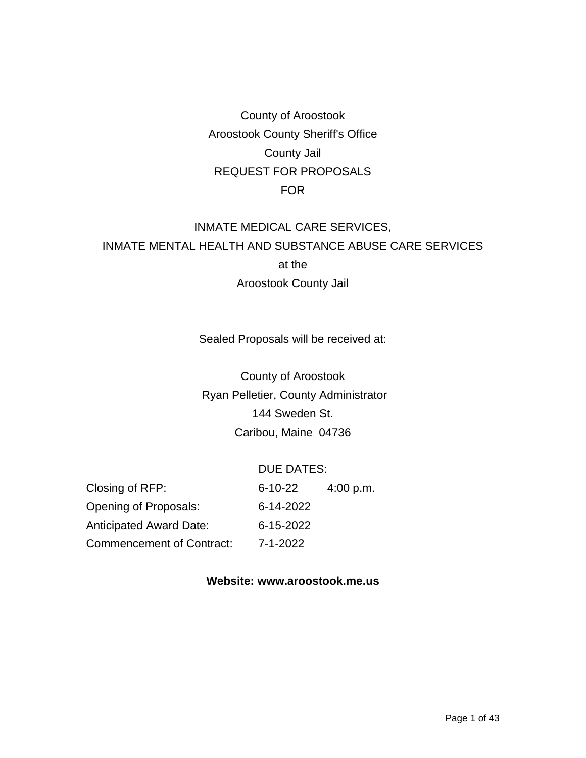County of Aroostook Aroostook County Sheriff's Office County Jail REQUEST FOR PROPOSALS FOR

# INMATE MEDICAL CARE SERVICES, INMATE MENTAL HEALTH AND SUBSTANCE ABUSE CARE SERVICES at the Aroostook County Jail

Sealed Proposals will be received at:

County of Aroostook Ryan Pelletier, County Administrator 144 Sweden St. Caribou, Maine 04736

#### DUE DATES:

Closing of RFP: 6-10-22 4:00 p.m. Opening of Proposals: 6-14-2022 Anticipated Award Date: 6-15-2022 Commencement of Contract: 7-1-2022

#### **Website: www.aroostook.me.us**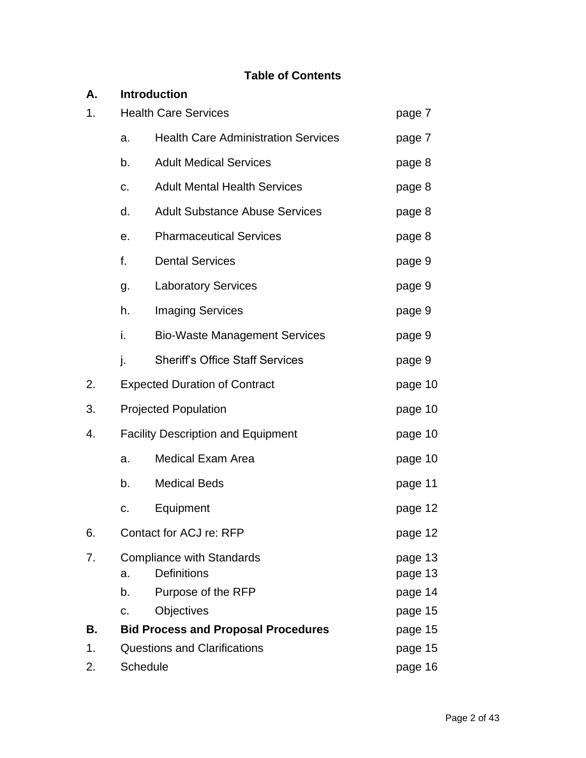## **Table of Contents**

| А. |                                           | <b>Introduction</b>                                    |                    |
|----|-------------------------------------------|--------------------------------------------------------|--------------------|
| 1. | <b>Health Care Services</b>               | page 7                                                 |                    |
|    | a.                                        | <b>Health Care Administration Services</b>             | page 7             |
|    | b.                                        | <b>Adult Medical Services</b>                          | page 8             |
|    | c.                                        | <b>Adult Mental Health Services</b>                    | page 8             |
|    | d.                                        | <b>Adult Substance Abuse Services</b>                  | page 8             |
|    | е.                                        | <b>Pharmaceutical Services</b>                         | page 8             |
|    | f.                                        | <b>Dental Services</b>                                 | page 9             |
|    | g.                                        | <b>Laboratory Services</b>                             | page 9             |
|    | h.                                        | <b>Imaging Services</b>                                | page 9             |
|    | i.                                        | <b>Bio-Waste Management Services</b>                   | page 9             |
|    | j.                                        | <b>Sheriff's Office Staff Services</b>                 | page 9             |
| 2. |                                           | <b>Expected Duration of Contract</b>                   | page 10            |
| 3. |                                           | <b>Projected Population</b>                            | page 10            |
| 4. | <b>Facility Description and Equipment</b> | page 10                                                |                    |
|    | a.                                        | <b>Medical Exam Area</b>                               | page 10            |
|    | b.                                        | <b>Medical Beds</b>                                    | page 11            |
|    | c.                                        | Equipment                                              | page 12            |
| 6. |                                           | Contact for ACJ re: RFP                                | page 12            |
| 7. | a.                                        | <b>Compliance with Standards</b><br><b>Definitions</b> | page 13<br>page 13 |
|    | b.                                        | Purpose of the RFP                                     | page 14            |
|    | C.                                        | Objectives                                             | page 15            |
| В. |                                           | <b>Bid Process and Proposal Procedures</b>             | page 15            |
| 1. | <b>Questions and Clarifications</b>       |                                                        |                    |
| 2. |                                           | Schedule                                               | page 16            |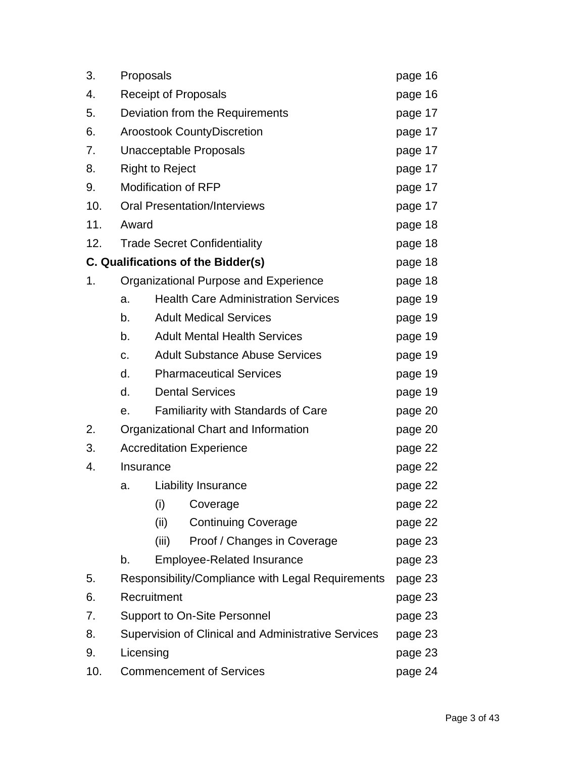| 3.  | Proposals                                       |                                       |                                                     | page 16 |
|-----|-------------------------------------------------|---------------------------------------|-----------------------------------------------------|---------|
| 4.  | <b>Receipt of Proposals</b>                     |                                       |                                                     | page 16 |
| 5.  | Deviation from the Requirements                 |                                       |                                                     | page 17 |
| 6.  |                                                 | <b>Aroostook CountyDiscretion</b>     |                                                     |         |
| 7.  |                                                 | Unacceptable Proposals                |                                                     |         |
| 8.  |                                                 | <b>Right to Reject</b>                |                                                     | page 17 |
| 9.  |                                                 |                                       | <b>Modification of RFP</b>                          | page 17 |
| 10. |                                                 |                                       | <b>Oral Presentation/Interviews</b>                 | page 17 |
| 11. |                                                 | Award                                 |                                                     |         |
| 12. | <b>Trade Secret Confidentiality</b>             |                                       |                                                     | page 18 |
|     |                                                 |                                       | C. Qualifications of the Bidder(s)                  | page 18 |
| 1.  |                                                 | Organizational Purpose and Experience |                                                     |         |
|     | a.                                              |                                       | <b>Health Care Administration Services</b>          | page 19 |
|     | b.                                              |                                       | <b>Adult Medical Services</b>                       | page 19 |
|     | <b>Adult Mental Health Services</b><br>b.       |                                       |                                                     | page 19 |
|     | <b>Adult Substance Abuse Services</b><br>c.     |                                       |                                                     | page 19 |
|     | d.                                              | <b>Pharmaceutical Services</b>        |                                                     |         |
|     | <b>Dental Services</b><br>d.                    |                                       |                                                     | page 19 |
|     | <b>Familiarity with Standards of Care</b><br>е. |                                       |                                                     | page 20 |
| 2.  | Organizational Chart and Information            |                                       |                                                     | page 20 |
| 3.  |                                                 |                                       | <b>Accreditation Experience</b>                     | page 22 |
| 4.  | Insurance                                       |                                       |                                                     | page 22 |
|     | a.                                              |                                       | <b>Liability Insurance</b>                          | page 22 |
|     |                                                 | (i)                                   | Coverage                                            | page 22 |
|     |                                                 | (ii)                                  | <b>Continuing Coverage</b>                          | page 22 |
|     |                                                 | (iii)                                 | Proof / Changes in Coverage                         | page 23 |
|     | b.                                              |                                       | <b>Employee-Related Insurance</b>                   | page 23 |
| 5.  |                                                 |                                       | Responsibility/Compliance with Legal Requirements   | page 23 |
| 6.  | Recruitment                                     |                                       |                                                     | page 23 |
| 7.  | <b>Support to On-Site Personnel</b>             |                                       |                                                     | page 23 |
| 8.  |                                                 |                                       | Supervision of Clinical and Administrative Services | page 23 |
| 9.  | Licensing                                       |                                       |                                                     | page 23 |
| 10. | <b>Commencement of Services</b>                 |                                       |                                                     | page 24 |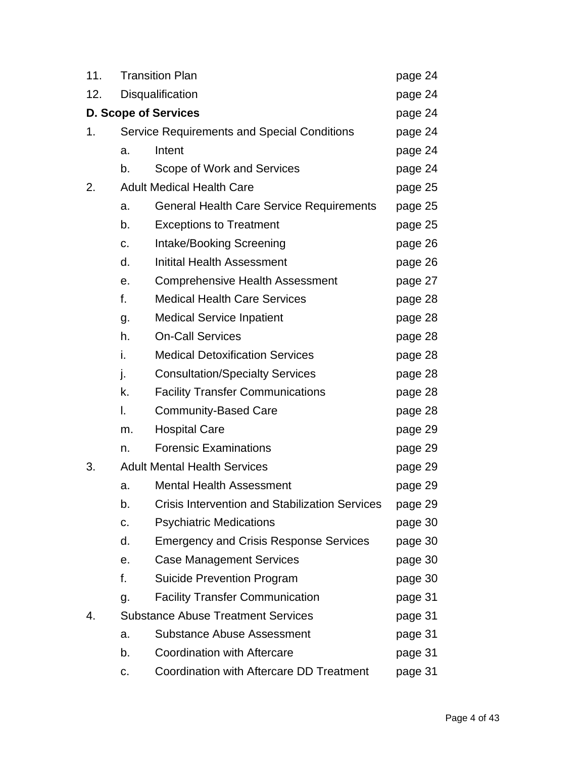| 11. | <b>Transition Plan</b>                    |                                                       | page 24 |
|-----|-------------------------------------------|-------------------------------------------------------|---------|
| 12. |                                           | Disqualification                                      |         |
|     |                                           | <b>D. Scope of Services</b>                           | page 24 |
| 1.  |                                           | <b>Service Requirements and Special Conditions</b>    |         |
|     | a.                                        | Intent                                                | page 24 |
|     | b.                                        | Scope of Work and Services                            | page 24 |
| 2.  | <b>Adult Medical Health Care</b>          |                                                       | page 25 |
|     | a.                                        | <b>General Health Care Service Requirements</b>       | page 25 |
|     | b.                                        | <b>Exceptions to Treatment</b>                        | page 25 |
|     | C.                                        | Intake/Booking Screening                              | page 26 |
|     | d.                                        | <b>Initital Health Assessment</b>                     | page 26 |
|     | е.                                        | <b>Comprehensive Health Assessment</b>                | page 27 |
|     | f.                                        | <b>Medical Health Care Services</b>                   | page 28 |
|     | g.                                        | <b>Medical Service Inpatient</b>                      | page 28 |
|     | h.                                        | <b>On-Call Services</b>                               | page 28 |
|     | i.                                        | <b>Medical Detoxification Services</b>                | page 28 |
|     | j.                                        | <b>Consultation/Specialty Services</b>                | page 28 |
|     | k.                                        | <b>Facility Transfer Communications</b>               | page 28 |
|     | I.                                        | <b>Community-Based Care</b>                           | page 28 |
|     | m.                                        | <b>Hospital Care</b>                                  | page 29 |
|     | n.                                        | <b>Forensic Examinations</b>                          | page 29 |
| 3.  | <b>Adult Mental Health Services</b>       |                                                       | page 29 |
|     | a.                                        | <b>Mental Health Assessment</b>                       | page 29 |
|     | b.                                        | <b>Crisis Intervention and Stabilization Services</b> | page 29 |
|     | C.                                        | <b>Psychiatric Medications</b>                        | page 30 |
|     | d.                                        | <b>Emergency and Crisis Response Services</b>         | page 30 |
|     | е.                                        | <b>Case Management Services</b>                       | page 30 |
|     | f.                                        | <b>Suicide Prevention Program</b>                     | page 30 |
|     | g.                                        | <b>Facility Transfer Communication</b>                | page 31 |
| 4.  | <b>Substance Abuse Treatment Services</b> | page 31                                               |         |
|     | a.                                        | <b>Substance Abuse Assessment</b>                     | page 31 |
|     | b.                                        | <b>Coordination with Aftercare</b>                    | page 31 |
|     | с.                                        | Coordination with Aftercare DD Treatment              | page 31 |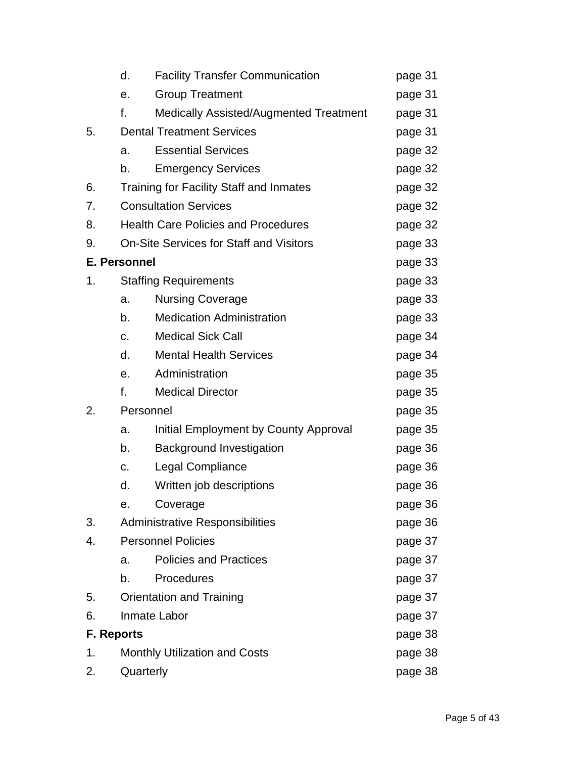|                   | d.                                             | <b>Facility Transfer Communication</b>         | page 31 |
|-------------------|------------------------------------------------|------------------------------------------------|---------|
|                   | е.                                             | <b>Group Treatment</b>                         | page 31 |
|                   | f.                                             | Medically Assisted/Augmented Treatment         | page 31 |
| 5.                |                                                | <b>Dental Treatment Services</b>               | page 31 |
|                   | a.                                             | <b>Essential Services</b>                      | page 32 |
|                   | b.                                             | <b>Emergency Services</b>                      | page 32 |
| 6.                |                                                | <b>Training for Facility Staff and Inmates</b> | page 32 |
| 7.                |                                                | <b>Consultation Services</b>                   | page 32 |
| 8.                |                                                | <b>Health Care Policies and Procedures</b>     | page 32 |
| 9.                | <b>On-Site Services for Staff and Visitors</b> | page 33                                        |         |
|                   | <b>E. Personnel</b>                            |                                                | page 33 |
| 1.                |                                                | <b>Staffing Requirements</b>                   | page 33 |
|                   | a.                                             | <b>Nursing Coverage</b>                        | page 33 |
|                   | b.                                             | <b>Medication Administration</b>               | page 33 |
|                   | c.                                             | <b>Medical Sick Call</b>                       | page 34 |
|                   | d.                                             | <b>Mental Health Services</b>                  | page 34 |
|                   | е.                                             | Administration                                 | page 35 |
|                   | f.                                             | <b>Medical Director</b>                        | page 35 |
| 2.                | Personnel                                      |                                                | page 35 |
|                   | a.                                             | Initial Employment by County Approval          | page 35 |
|                   | b.                                             | <b>Background Investigation</b>                | page 36 |
|                   | C.                                             | <b>Legal Compliance</b>                        | page 36 |
|                   | d.                                             | Written job descriptions                       | page 36 |
|                   | е.                                             | Coverage                                       | page 36 |
| 3.                |                                                | <b>Administrative Responsibilities</b>         | page 36 |
| 4.                | <b>Personnel Policies</b>                      |                                                | page 37 |
|                   | a.                                             | <b>Policies and Practices</b>                  | page 37 |
|                   | b.                                             | Procedures                                     | page 37 |
| 5.                | <b>Orientation and Training</b>                |                                                | page 37 |
| 6.                | Inmate Labor                                   | page 37                                        |         |
| <b>F. Reports</b> |                                                |                                                | page 38 |
| 1.                |                                                | <b>Monthly Utilization and Costs</b>           | page 38 |
| 2.                | Quarterly                                      | page 38                                        |         |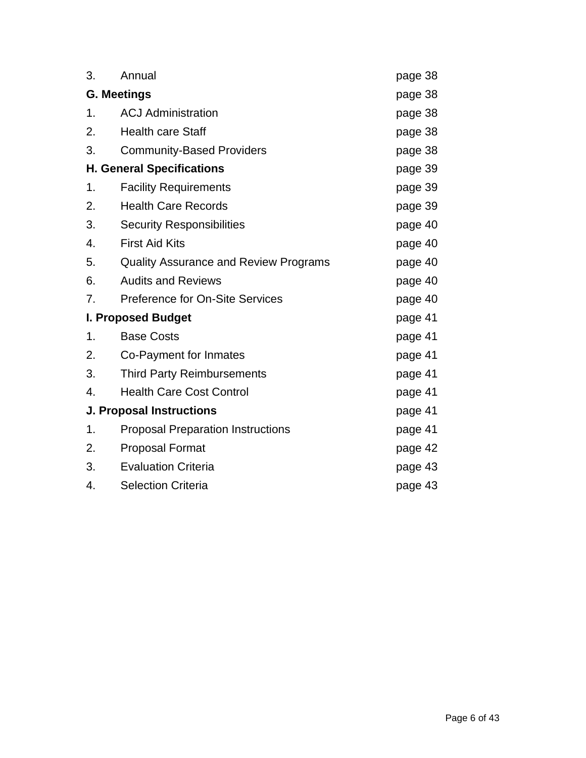| 3. | Annual                                       | page 38 |  |
|----|----------------------------------------------|---------|--|
|    | <b>G. Meetings</b>                           |         |  |
| 1. | <b>ACJ Administration</b>                    | page 38 |  |
| 2. | <b>Health care Staff</b>                     | page 38 |  |
| 3. | <b>Community-Based Providers</b>             | page 38 |  |
|    | <b>H. General Specifications</b>             | page 39 |  |
| 1. | <b>Facility Requirements</b>                 | page 39 |  |
| 2. | <b>Health Care Records</b>                   | page 39 |  |
| 3. | <b>Security Responsibilities</b>             | page 40 |  |
| 4. | <b>First Aid Kits</b>                        | page 40 |  |
| 5. | <b>Quality Assurance and Review Programs</b> | page 40 |  |
| 6. | <b>Audits and Reviews</b>                    | page 40 |  |
| 7. | <b>Preference for On-Site Services</b>       | page 40 |  |
|    | I. Proposed Budget                           | page 41 |  |
| 1. | <b>Base Costs</b>                            | page 41 |  |
| 2. | Co-Payment for Inmates                       | page 41 |  |
| 3. | <b>Third Party Reimbursements</b>            | page 41 |  |
| 4. | <b>Health Care Cost Control</b>              | page 41 |  |
|    | <b>J. Proposal Instructions</b>              | page 41 |  |
| 1. | <b>Proposal Preparation Instructions</b>     | page 41 |  |
| 2. | <b>Proposal Format</b>                       | page 42 |  |
| 3. | <b>Evaluation Criteria</b>                   | page 43 |  |
| 4. | <b>Selection Criteria</b>                    | page 43 |  |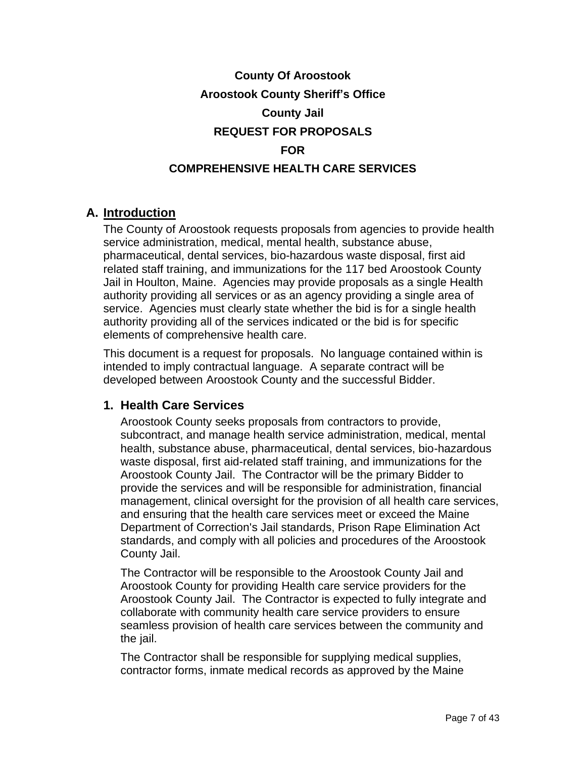# **County Of Aroostook Aroostook County Sheriff's Office County Jail REQUEST FOR PROPOSALS FOR COMPREHENSIVE HEALTH CARE SERVICES**

## **A. Introduction**

The County of Aroostook requests proposals from agencies to provide health service administration, medical, mental health, substance abuse, pharmaceutical, dental services, bio-hazardous waste disposal, first aid related staff training, and immunizations for the 117 bed Aroostook County Jail in Houlton, Maine. Agencies may provide proposals as a single Health authority providing all services or as an agency providing a single area of service. Agencies must clearly state whether the bid is for a single health authority providing all of the services indicated or the bid is for specific elements of comprehensive health care.

This document is a request for proposals. No language contained within is intended to imply contractual language. A separate contract will be developed between Aroostook County and the successful Bidder.

### **1. Health Care Services**

Aroostook County seeks proposals from contractors to provide, subcontract, and manage health service administration, medical, mental health, substance abuse, pharmaceutical, dental services, bio-hazardous waste disposal, first aid-related staff training, and immunizations for the Aroostook County Jail. The Contractor will be the primary Bidder to provide the services and will be responsible for administration, financial management, clinical oversight for the provision of all health care services, and ensuring that the health care services meet or exceed the Maine Department of Correction's Jail standards, Prison Rape Elimination Act standards, and comply with all policies and procedures of the Aroostook County Jail.

The Contractor will be responsible to the Aroostook County Jail and Aroostook County for providing Health care service providers for the Aroostook County Jail. The Contractor is expected to fully integrate and collaborate with community health care service providers to ensure seamless provision of health care services between the community and the jail.

The Contractor shall be responsible for supplying medical supplies, contractor forms, inmate medical records as approved by the Maine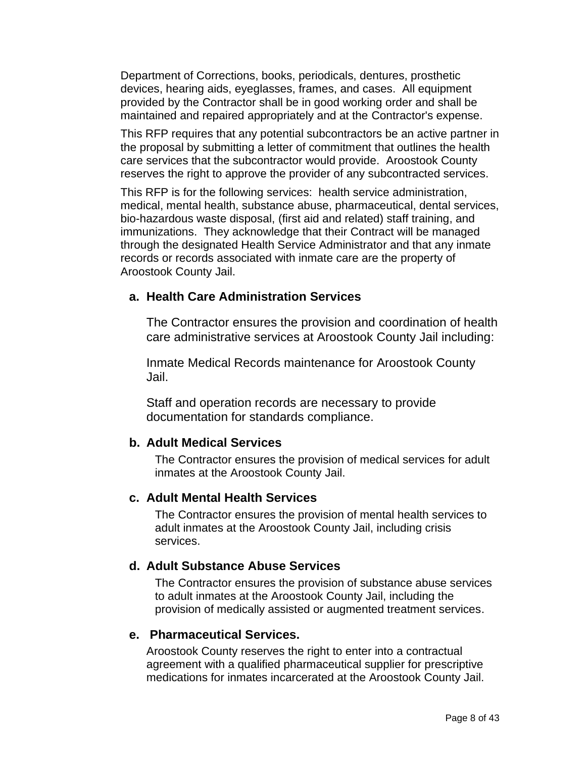Department of Corrections, books, periodicals, dentures, prosthetic devices, hearing aids, eyeglasses, frames, and cases. All equipment provided by the Contractor shall be in good working order and shall be maintained and repaired appropriately and at the Contractor's expense.

This RFP requires that any potential subcontractors be an active partner in the proposal by submitting a letter of commitment that outlines the health care services that the subcontractor would provide. Aroostook County reserves the right to approve the provider of any subcontracted services.

This RFP is for the following services: health service administration, medical, mental health, substance abuse, pharmaceutical, dental services, bio-hazardous waste disposal, (first aid and related) staff training, and immunizations. They acknowledge that their Contract will be managed through the designated Health Service Administrator and that any inmate records or records associated with inmate care are the property of Aroostook County Jail.

#### **a. Health Care Administration Services**

The Contractor ensures the provision and coordination of health care administrative services at Aroostook County Jail including:

Inmate Medical Records maintenance for Aroostook County Jail.

Staff and operation records are necessary to provide documentation for standards compliance.

#### **b. Adult Medical Services**

The Contractor ensures the provision of medical services for adult inmates at the Aroostook County Jail.

#### **c. Adult Mental Health Services**

The Contractor ensures the provision of mental health services to adult inmates at the Aroostook County Jail, including crisis services.

#### **d. Adult Substance Abuse Services**

The Contractor ensures the provision of substance abuse services to adult inmates at the Aroostook County Jail, including the provision of medically assisted or augmented treatment services.

#### **e. Pharmaceutical Services.**

Aroostook County reserves the right to enter into a contractual agreement with a qualified pharmaceutical supplier for prescriptive medications for inmates incarcerated at the Aroostook County Jail.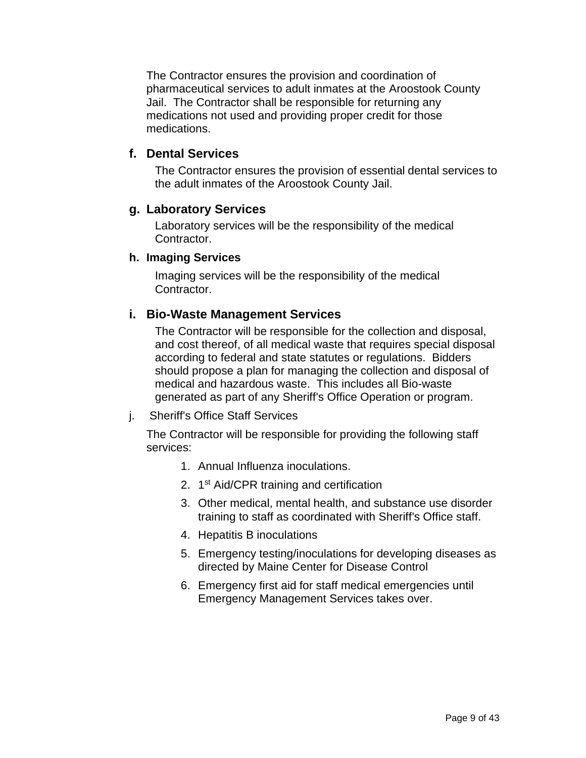The Contractor ensures the provision and coordination of pharmaceutical services to adult inmates at the Aroostook County Jail. The Contractor shall be responsible for returning any medications not used and providing proper credit for those medications.

### **f. Dental Services**

The Contractor ensures the provision of essential dental services to the adult inmates of the Aroostook County Jail.

#### **g. Laboratory Services**

Laboratory services will be the responsibility of the medical Contractor.

#### **h. Imaging Services**

Imaging services will be the responsibility of the medical Contractor.

### **i. Bio-Waste Management Services**

The Contractor will be responsible for the collection and disposal, and cost thereof, of all medical waste that requires special disposal according to federal and state statutes or regulations. Bidders should propose a plan for managing the collection and disposal of medical and hazardous waste. This includes all Bio-waste generated as part of any Sheriff's Office Operation or program.

#### j. Sheriff's Office Staff Services

The Contractor will be responsible for providing the following staff services:

- 1. Annual Influenza inoculations.
- 2. 1<sup>st</sup> Aid/CPR training and certification
- 3. Other medical, mental health, and substance use disorder training to staff as coordinated with Sheriff's Office staff.
- 4. Hepatitis B inoculations
- 5. Emergency testing/inoculations for developing diseases as directed by Maine Center for Disease Control
- 6. Emergency first aid for staff medical emergencies until Emergency Management Services takes over.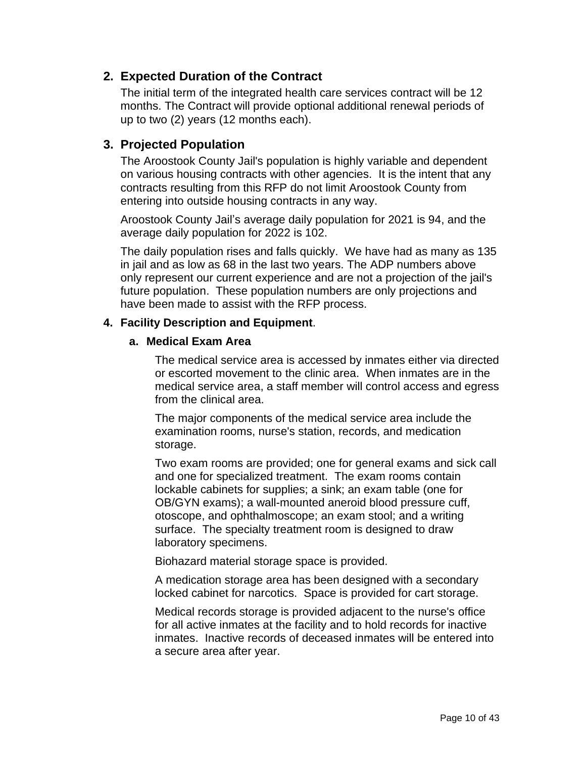### **2. Expected Duration of the Contract**

The initial term of the integrated health care services contract will be 12 months. The Contract will provide optional additional renewal periods of up to two (2) years (12 months each).

### **3. Projected Population**

The Aroostook County Jail's population is highly variable and dependent on various housing contracts with other agencies. It is the intent that any contracts resulting from this RFP do not limit Aroostook County from entering into outside housing contracts in any way.

Aroostook County Jail's average daily population for 2021 is 94, and the average daily population for 2022 is 102.

The daily population rises and falls quickly. We have had as many as 135 in jail and as low as 68 in the last two years. The ADP numbers above only represent our current experience and are not a projection of the jail's future population. These population numbers are only projections and have been made to assist with the RFP process.

#### **4. Facility Description and Equipment**.

#### **a. Medical Exam Area**

The medical service area is accessed by inmates either via directed or escorted movement to the clinic area. When inmates are in the medical service area, a staff member will control access and egress from the clinical area.

The major components of the medical service area include the examination rooms, nurse's station, records, and medication storage.

Two exam rooms are provided; one for general exams and sick call and one for specialized treatment. The exam rooms contain lockable cabinets for supplies; a sink; an exam table (one for OB/GYN exams); a wall-mounted aneroid blood pressure cuff, otoscope, and ophthalmoscope; an exam stool; and a writing surface. The specialty treatment room is designed to draw laboratory specimens.

Biohazard material storage space is provided.

A medication storage area has been designed with a secondary locked cabinet for narcotics. Space is provided for cart storage.

Medical records storage is provided adjacent to the nurse's office for all active inmates at the facility and to hold records for inactive inmates. Inactive records of deceased inmates will be entered into a secure area after year.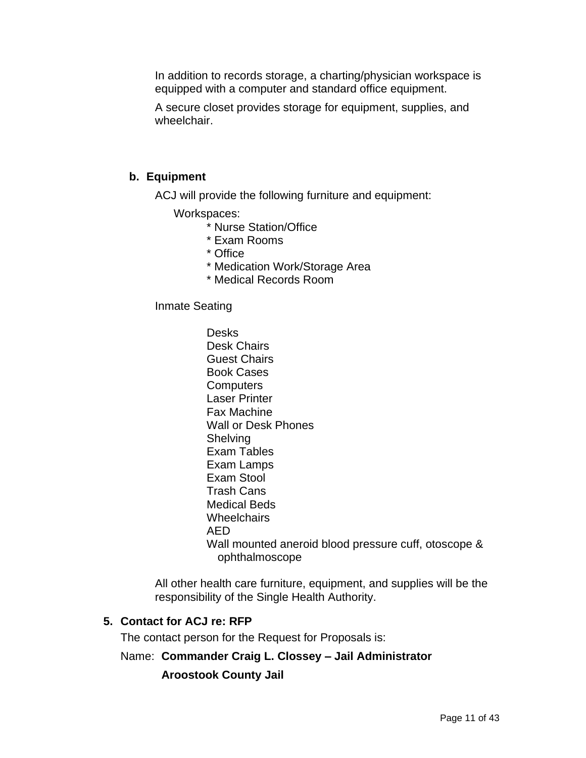In addition to records storage, a charting/physician workspace is equipped with a computer and standard office equipment.

A secure closet provides storage for equipment, supplies, and wheelchair.

#### **b. Equipment**

ACJ will provide the following furniture and equipment:

Workspaces:

- \* Nurse Station/Office
- \* Exam Rooms
- \* Office
- \* Medication Work/Storage Area
- \* Medical Records Room

#### Inmate Seating

Desks Desk Chairs Guest Chairs Book Cases **Computers** Laser Printer Fax Machine Wall or Desk Phones **Shelving** Exam Tables Exam Lamps Exam Stool Trash Cans Medical Beds **Wheelchairs** AED Wall mounted aneroid blood pressure cuff, otoscope & ophthalmoscope

All other health care furniture, equipment, and supplies will be the responsibility of the Single Health Authority.

#### **5. Contact for ACJ re: RFP**

The contact person for the Request for Proposals is:

#### Name: **Commander Craig L. Clossey – Jail Administrator**

#### **Aroostook County Jail**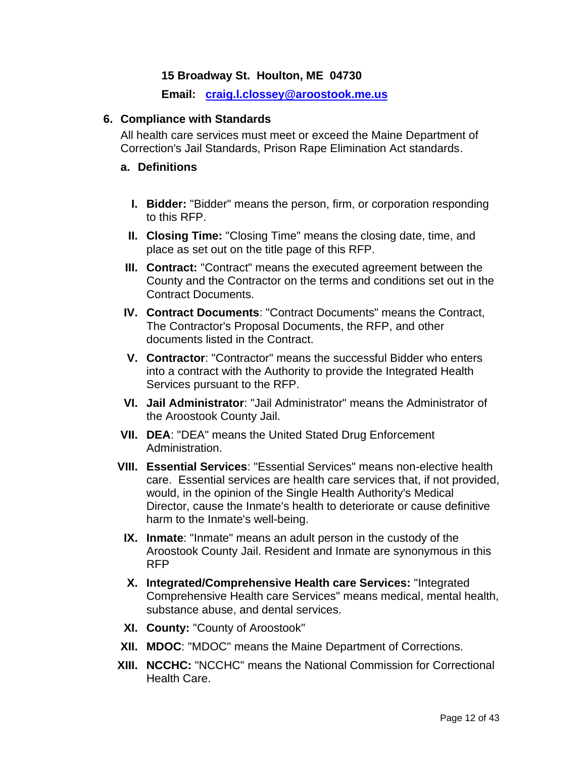#### **15 Broadway St. Houlton, ME 04730**

 **Email: craig.l.clossey@aroostook.me.us**

#### **6. Compliance with Standards**

All health care services must meet or exceed the Maine Department of Correction's Jail Standards, Prison Rape Elimination Act standards.

#### **a. Definitions**

- **I. Bidder:** "Bidder" means the person, firm, or corporation responding to this RFP.
- **II. Closing Time:** "Closing Time" means the closing date, time, and place as set out on the title page of this RFP.
- **III. Contract:** "Contract" means the executed agreement between the County and the Contractor on the terms and conditions set out in the Contract Documents.
- **IV. Contract Documents**: "Contract Documents" means the Contract, The Contractor's Proposal Documents, the RFP, and other documents listed in the Contract.
- **V. Contractor**: "Contractor" means the successful Bidder who enters into a contract with the Authority to provide the Integrated Health Services pursuant to the RFP.
- **VI. Jail Administrator**: "Jail Administrator" means the Administrator of the Aroostook County Jail.
- **VII. DEA**: "DEA" means the United Stated Drug Enforcement Administration.
- **VIII. Essential Services**: "Essential Services" means non-elective health care. Essential services are health care services that, if not provided, would, in the opinion of the Single Health Authority's Medical Director, cause the Inmate's health to deteriorate or cause definitive harm to the Inmate's well-being.
	- **IX. Inmate**: "Inmate" means an adult person in the custody of the Aroostook County Jail. Resident and Inmate are synonymous in this RFP
	- **X. Integrated/Comprehensive Health care Services:** "Integrated Comprehensive Health care Services" means medical, mental health, substance abuse, and dental services.
- **XI. County:** "County of Aroostook"
- **XII. MDOC**: "MDOC" means the Maine Department of Corrections.
- **XIII. NCCHC:** "NCCHC" means the National Commission for Correctional Health Care.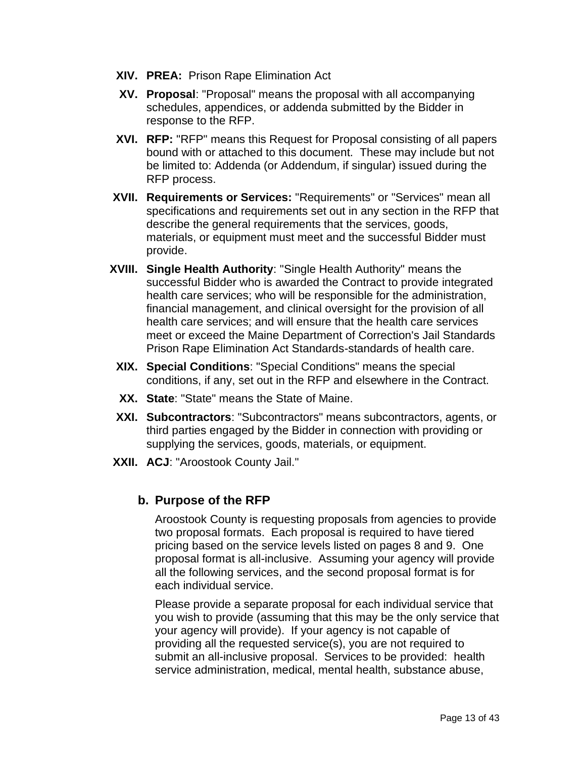- **XIV. PREA:** Prison Rape Elimination Act
- **XV. Proposal**: "Proposal" means the proposal with all accompanying schedules, appendices, or addenda submitted by the Bidder in response to the RFP.
- **XVI. RFP:** "RFP" means this Request for Proposal consisting of all papers bound with or attached to this document. These may include but not be limited to: Addenda (or Addendum, if singular) issued during the RFP process.
- **XVII. Requirements or Services:** "Requirements" or "Services" mean all specifications and requirements set out in any section in the RFP that describe the general requirements that the services, goods, materials, or equipment must meet and the successful Bidder must provide.
- **XVIII. Single Health Authority**: "Single Health Authority" means the successful Bidder who is awarded the Contract to provide integrated health care services; who will be responsible for the administration, financial management, and clinical oversight for the provision of all health care services; and will ensure that the health care services meet or exceed the Maine Department of Correction's Jail Standards Prison Rape Elimination Act Standards-standards of health care.
- **XIX. Special Conditions**: "Special Conditions" means the special conditions, if any, set out in the RFP and elsewhere in the Contract.
- **XX. State**: "State" means the State of Maine.
- **XXI. Subcontractors**: "Subcontractors" means subcontractors, agents, or third parties engaged by the Bidder in connection with providing or supplying the services, goods, materials, or equipment.
- **XXII. ACJ**: "Aroostook County Jail."

## **b. Purpose of the RFP**

Aroostook County is requesting proposals from agencies to provide two proposal formats. Each proposal is required to have tiered pricing based on the service levels listed on pages 8 and 9. One proposal format is all-inclusive. Assuming your agency will provide all the following services, and the second proposal format is for each individual service.

Please provide a separate proposal for each individual service that you wish to provide (assuming that this may be the only service that your agency will provide). If your agency is not capable of providing all the requested service(s), you are not required to submit an all-inclusive proposal. Services to be provided: health service administration, medical, mental health, substance abuse,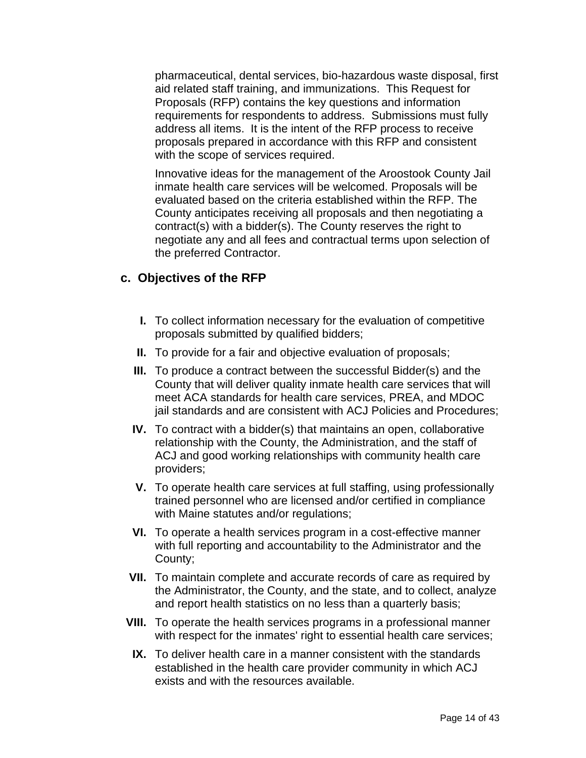pharmaceutical, dental services, bio-hazardous waste disposal, first aid related staff training, and immunizations. This Request for Proposals (RFP) contains the key questions and information requirements for respondents to address. Submissions must fully address all items. It is the intent of the RFP process to receive proposals prepared in accordance with this RFP and consistent with the scope of services required.

Innovative ideas for the management of the Aroostook County Jail inmate health care services will be welcomed. Proposals will be evaluated based on the criteria established within the RFP. The County anticipates receiving all proposals and then negotiating a contract(s) with a bidder(s). The County reserves the right to negotiate any and all fees and contractual terms upon selection of the preferred Contractor.

#### **c. Objectives of the RFP**

- **I.** To collect information necessary for the evaluation of competitive proposals submitted by qualified bidders;
- **II.** To provide for a fair and objective evaluation of proposals;
- **III.** To produce a contract between the successful Bidder(s) and the County that will deliver quality inmate health care services that will meet ACA standards for health care services, PREA, and MDOC jail standards and are consistent with ACJ Policies and Procedures;
- **IV.** To contract with a bidder(s) that maintains an open, collaborative relationship with the County, the Administration, and the staff of ACJ and good working relationships with community health care providers;
- **V.** To operate health care services at full staffing, using professionally trained personnel who are licensed and/or certified in compliance with Maine statutes and/or regulations;
- **VI.** To operate a health services program in a cost-effective manner with full reporting and accountability to the Administrator and the County;
- **VII.** To maintain complete and accurate records of care as required by the Administrator, the County, and the state, and to collect, analyze and report health statistics on no less than a quarterly basis;
- **VIII.** To operate the health services programs in a professional manner with respect for the inmates' right to essential health care services;
	- **IX.** To deliver health care in a manner consistent with the standards established in the health care provider community in which ACJ exists and with the resources available.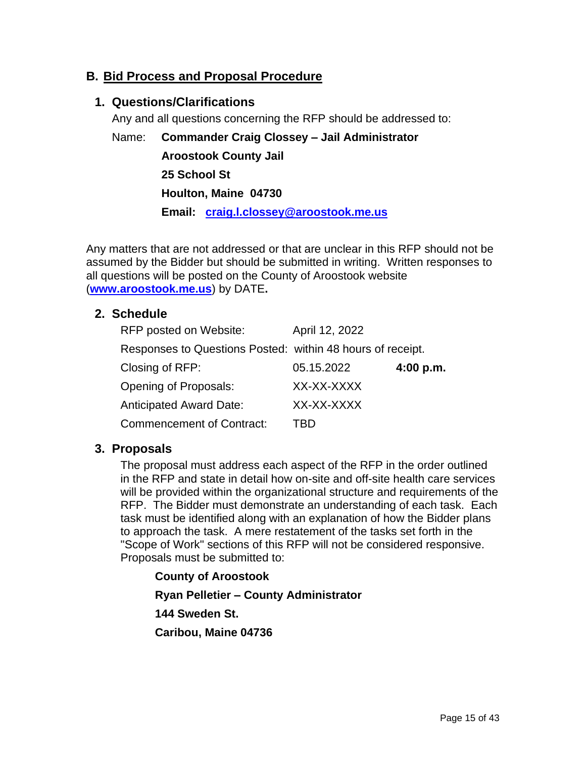## **B. Bid Process and Proposal Procedure**

#### **1. Questions/Clarifications**

Any and all questions concerning the RFP should be addressed to:

Name: **Commander Craig Clossey – Jail Administrator Aroostook County Jail 25 School St Houlton, Maine 04730 Email: [craig.l.clossey@aroostook.me.us](mailto:craig.l.clossey@aroostook.me.us)**

Any matters that are not addressed or that are unclear in this RFP should not be assumed by the Bidder but should be submitted in writing. Written responses to all questions will be posted on the County of Aroostook website (**www.aroostook.me.us**) by DATE**.**

#### **2. Schedule**

| RFP posted on Website:                                     | April 12, 2022 |           |
|------------------------------------------------------------|----------------|-----------|
| Responses to Questions Posted: within 48 hours of receipt. |                |           |
| Closing of RFP:                                            | 05.15.2022     | 4:00 p.m. |
| Opening of Proposals:                                      | XX-XX-XXXX     |           |
| <b>Anticipated Award Date:</b>                             | XX-XX-XXXX     |           |
| <b>Commencement of Contract:</b>                           | TRD            |           |

#### **3. Proposals**

The proposal must address each aspect of the RFP in the order outlined in the RFP and state in detail how on-site and off-site health care services will be provided within the organizational structure and requirements of the RFP. The Bidder must demonstrate an understanding of each task. Each task must be identified along with an explanation of how the Bidder plans to approach the task. A mere restatement of the tasks set forth in the "Scope of Work" sections of this RFP will not be considered responsive. Proposals must be submitted to:

#### **County of Aroostook**

**Ryan Pelletier – County Administrator**

**144 Sweden St.**

**Caribou, Maine 04736**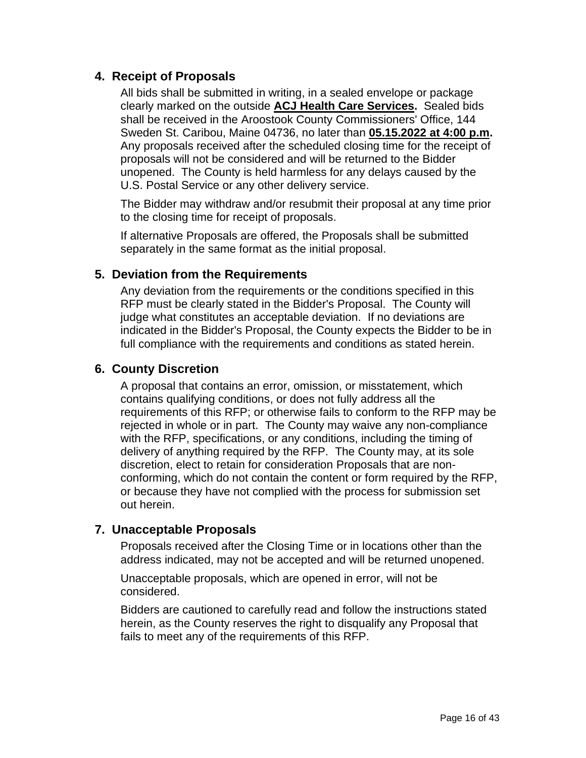## **4. Receipt of Proposals**

All bids shall be submitted in writing, in a sealed envelope or package clearly marked on the outside **ACJ Health Care Services.** Sealed bids shall be received in the Aroostook County Commissioners' Office, 144 Sweden St. Caribou, Maine 04736, no later than **05.15.2022 at 4:00 p.m.** Any proposals received after the scheduled closing time for the receipt of proposals will not be considered and will be returned to the Bidder unopened. The County is held harmless for any delays caused by the U.S. Postal Service or any other delivery service.

The Bidder may withdraw and/or resubmit their proposal at any time prior to the closing time for receipt of proposals.

If alternative Proposals are offered, the Proposals shall be submitted separately in the same format as the initial proposal.

### **5. Deviation from the Requirements**

Any deviation from the requirements or the conditions specified in this RFP must be clearly stated in the Bidder's Proposal. The County will judge what constitutes an acceptable deviation. If no deviations are indicated in the Bidder's Proposal, the County expects the Bidder to be in full compliance with the requirements and conditions as stated herein.

### **6. County Discretion**

A proposal that contains an error, omission, or misstatement, which contains qualifying conditions, or does not fully address all the requirements of this RFP; or otherwise fails to conform to the RFP may be rejected in whole or in part. The County may waive any non-compliance with the RFP, specifications, or any conditions, including the timing of delivery of anything required by the RFP. The County may, at its sole discretion, elect to retain for consideration Proposals that are nonconforming, which do not contain the content or form required by the RFP, or because they have not complied with the process for submission set out herein.

### **7. Unacceptable Proposals**

Proposals received after the Closing Time or in locations other than the address indicated, may not be accepted and will be returned unopened.

Unacceptable proposals, which are opened in error, will not be considered.

Bidders are cautioned to carefully read and follow the instructions stated herein, as the County reserves the right to disqualify any Proposal that fails to meet any of the requirements of this RFP.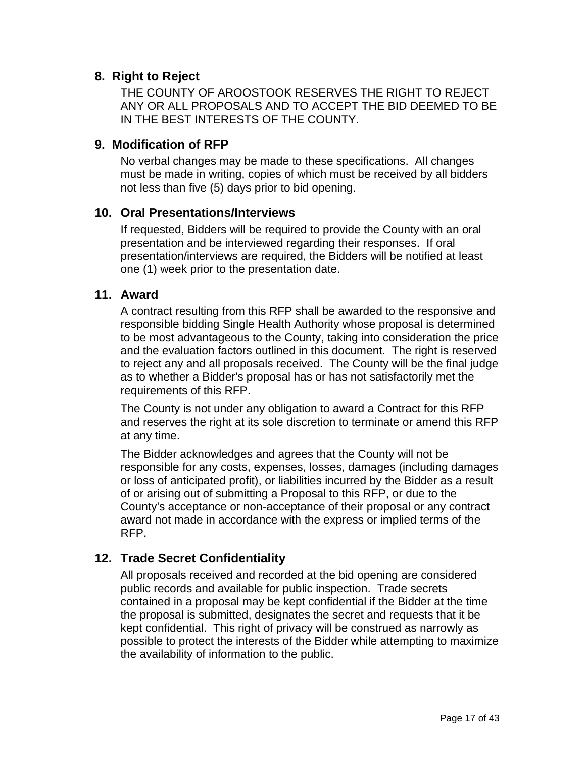### **8. Right to Reject**

THE COUNTY OF AROOSTOOK RESERVES THE RIGHT TO REJECT ANY OR ALL PROPOSALS AND TO ACCEPT THE BID DEEMED TO BE IN THE BEST INTERESTS OF THE COUNTY.

### **9. Modification of RFP**

No verbal changes may be made to these specifications. All changes must be made in writing, copies of which must be received by all bidders not less than five (5) days prior to bid opening.

#### **10. Oral Presentations/Interviews**

If requested, Bidders will be required to provide the County with an oral presentation and be interviewed regarding their responses. If oral presentation/interviews are required, the Bidders will be notified at least one (1) week prior to the presentation date.

#### **11. Award**

A contract resulting from this RFP shall be awarded to the responsive and responsible bidding Single Health Authority whose proposal is determined to be most advantageous to the County, taking into consideration the price and the evaluation factors outlined in this document. The right is reserved to reject any and all proposals received. The County will be the final judge as to whether a Bidder's proposal has or has not satisfactorily met the requirements of this RFP.

The County is not under any obligation to award a Contract for this RFP and reserves the right at its sole discretion to terminate or amend this RFP at any time.

The Bidder acknowledges and agrees that the County will not be responsible for any costs, expenses, losses, damages (including damages or loss of anticipated profit), or liabilities incurred by the Bidder as a result of or arising out of submitting a Proposal to this RFP, or due to the County's acceptance or non-acceptance of their proposal or any contract award not made in accordance with the express or implied terms of the RFP.

### **12. Trade Secret Confidentiality**

All proposals received and recorded at the bid opening are considered public records and available for public inspection. Trade secrets contained in a proposal may be kept confidential if the Bidder at the time the proposal is submitted, designates the secret and requests that it be kept confidential. This right of privacy will be construed as narrowly as possible to protect the interests of the Bidder while attempting to maximize the availability of information to the public.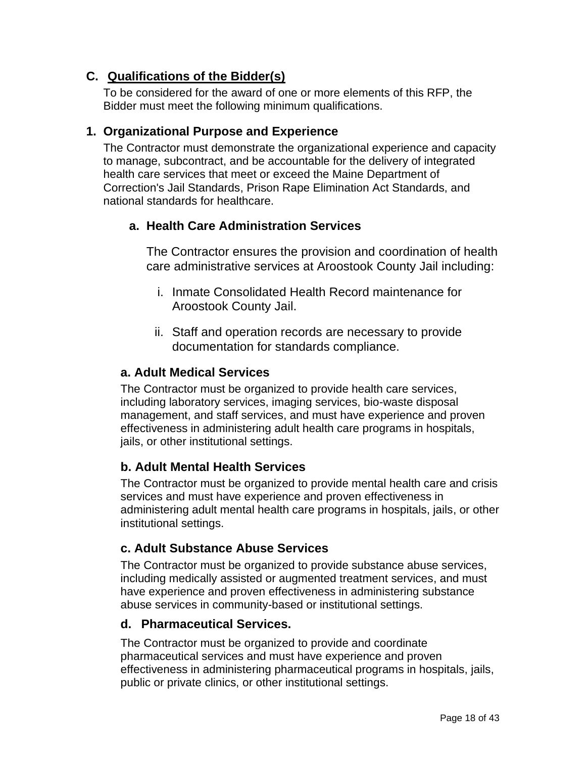## **C. Qualifications of the Bidder(s)**

To be considered for the award of one or more elements of this RFP, the Bidder must meet the following minimum qualifications.

## **1. Organizational Purpose and Experience**

The Contractor must demonstrate the organizational experience and capacity to manage, subcontract, and be accountable for the delivery of integrated health care services that meet or exceed the Maine Department of Correction's Jail Standards, Prison Rape Elimination Act Standards, and national standards for healthcare.

## **a. Health Care Administration Services**

The Contractor ensures the provision and coordination of health care administrative services at Aroostook County Jail including:

- i. Inmate Consolidated Health Record maintenance for Aroostook County Jail.
- ii. Staff and operation records are necessary to provide documentation for standards compliance.

## **a. Adult Medical Services**

The Contractor must be organized to provide health care services, including laboratory services, imaging services, bio-waste disposal management, and staff services, and must have experience and proven effectiveness in administering adult health care programs in hospitals, jails, or other institutional settings.

## **b. Adult Mental Health Services**

The Contractor must be organized to provide mental health care and crisis services and must have experience and proven effectiveness in administering adult mental health care programs in hospitals, jails, or other institutional settings.

## **c. Adult Substance Abuse Services**

The Contractor must be organized to provide substance abuse services, including medically assisted or augmented treatment services, and must have experience and proven effectiveness in administering substance abuse services in community-based or institutional settings.

### **d. Pharmaceutical Services.**

The Contractor must be organized to provide and coordinate pharmaceutical services and must have experience and proven effectiveness in administering pharmaceutical programs in hospitals, jails, public or private clinics, or other institutional settings.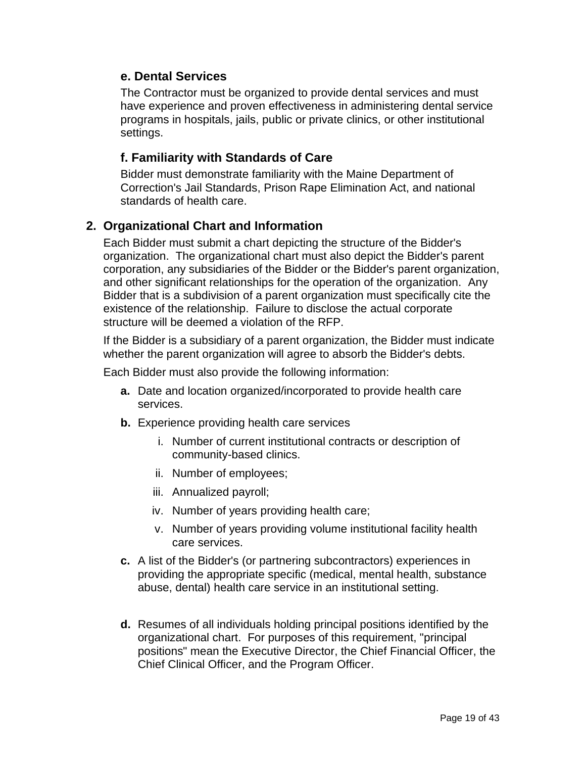### **e. Dental Services**

The Contractor must be organized to provide dental services and must have experience and proven effectiveness in administering dental service programs in hospitals, jails, public or private clinics, or other institutional settings.

## **f. Familiarity with Standards of Care**

Bidder must demonstrate familiarity with the Maine Department of Correction's Jail Standards, Prison Rape Elimination Act, and national standards of health care.

## **2. Organizational Chart and Information**

Each Bidder must submit a chart depicting the structure of the Bidder's organization. The organizational chart must also depict the Bidder's parent corporation, any subsidiaries of the Bidder or the Bidder's parent organization, and other significant relationships for the operation of the organization. Any Bidder that is a subdivision of a parent organization must specifically cite the existence of the relationship. Failure to disclose the actual corporate structure will be deemed a violation of the RFP.

If the Bidder is a subsidiary of a parent organization, the Bidder must indicate whether the parent organization will agree to absorb the Bidder's debts.

Each Bidder must also provide the following information:

- **a.** Date and location organized/incorporated to provide health care services.
- **b.** Experience providing health care services
	- i. Number of current institutional contracts or description of community-based clinics.
	- ii. Number of employees;
	- iii. Annualized payroll;
	- iv. Number of years providing health care;
	- v. Number of years providing volume institutional facility health care services.
- **c.** A list of the Bidder's (or partnering subcontractors) experiences in providing the appropriate specific (medical, mental health, substance abuse, dental) health care service in an institutional setting.
- **d.** Resumes of all individuals holding principal positions identified by the organizational chart. For purposes of this requirement, "principal positions" mean the Executive Director, the Chief Financial Officer, the Chief Clinical Officer, and the Program Officer.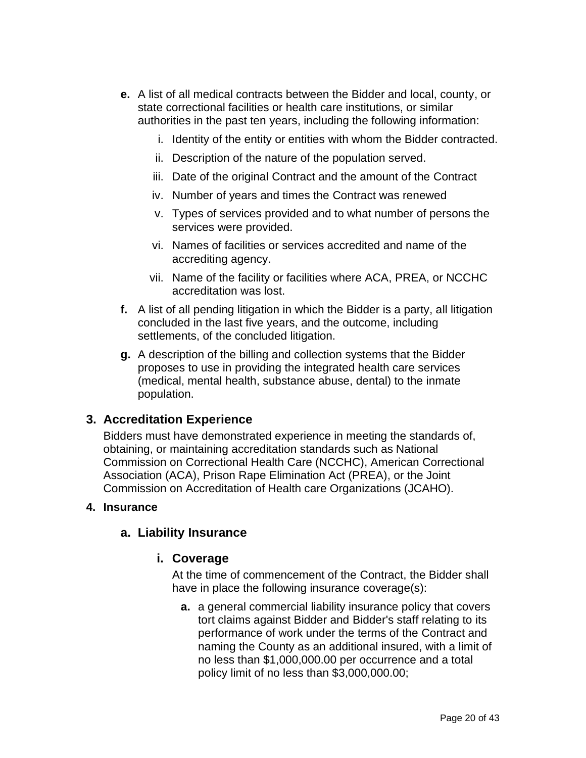- **e.** A list of all medical contracts between the Bidder and local, county, or state correctional facilities or health care institutions, or similar authorities in the past ten years, including the following information:
	- i. Identity of the entity or entities with whom the Bidder contracted.
	- ii. Description of the nature of the population served.
	- iii. Date of the original Contract and the amount of the Contract
	- iv. Number of years and times the Contract was renewed
	- v. Types of services provided and to what number of persons the services were provided.
	- vi. Names of facilities or services accredited and name of the accrediting agency.
	- vii. Name of the facility or facilities where ACA, PREA, or NCCHC accreditation was lost.
- **f.** A list of all pending litigation in which the Bidder is a party, all litigation concluded in the last five years, and the outcome, including settlements, of the concluded litigation.
- **g.** A description of the billing and collection systems that the Bidder proposes to use in providing the integrated health care services (medical, mental health, substance abuse, dental) to the inmate population.

## **3. Accreditation Experience**

Bidders must have demonstrated experience in meeting the standards of, obtaining, or maintaining accreditation standards such as National Commission on Correctional Health Care (NCCHC), American Correctional Association (ACA), Prison Rape Elimination Act (PREA), or the Joint Commission on Accreditation of Health care Organizations (JCAHO).

#### **4. Insurance**

### **a. Liability Insurance**

### **i. Coverage**

At the time of commencement of the Contract, the Bidder shall have in place the following insurance coverage(s):

**a.** a general commercial liability insurance policy that covers tort claims against Bidder and Bidder's staff relating to its performance of work under the terms of the Contract and naming the County as an additional insured, with a limit of no less than \$1,000,000.00 per occurrence and a total policy limit of no less than \$3,000,000.00;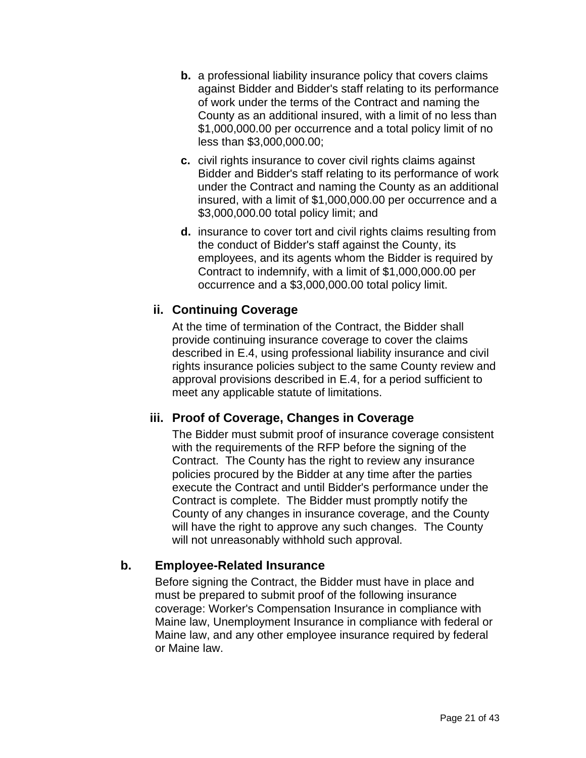- **b.** a professional liability insurance policy that covers claims against Bidder and Bidder's staff relating to its performance of work under the terms of the Contract and naming the County as an additional insured, with a limit of no less than \$1,000,000.00 per occurrence and a total policy limit of no less than \$3,000,000.00;
- **c.** civil rights insurance to cover civil rights claims against Bidder and Bidder's staff relating to its performance of work under the Contract and naming the County as an additional insured, with a limit of \$1,000,000.00 per occurrence and a \$3,000,000.00 total policy limit; and
- **d.** insurance to cover tort and civil rights claims resulting from the conduct of Bidder's staff against the County, its employees, and its agents whom the Bidder is required by Contract to indemnify, with a limit of \$1,000,000.00 per occurrence and a \$3,000,000.00 total policy limit.

## **ii. Continuing Coverage**

At the time of termination of the Contract, the Bidder shall provide continuing insurance coverage to cover the claims described in E.4, using professional liability insurance and civil rights insurance policies subject to the same County review and approval provisions described in E.4, for a period sufficient to meet any applicable statute of limitations.

## **iii. Proof of Coverage, Changes in Coverage**

The Bidder must submit proof of insurance coverage consistent with the requirements of the RFP before the signing of the Contract. The County has the right to review any insurance policies procured by the Bidder at any time after the parties execute the Contract and until Bidder's performance under the Contract is complete. The Bidder must promptly notify the County of any changes in insurance coverage, and the County will have the right to approve any such changes. The County will not unreasonably withhold such approval.

### **b. Employee-Related Insurance**

Before signing the Contract, the Bidder must have in place and must be prepared to submit proof of the following insurance coverage: Worker's Compensation Insurance in compliance with Maine law, Unemployment Insurance in compliance with federal or Maine law, and any other employee insurance required by federal or Maine law.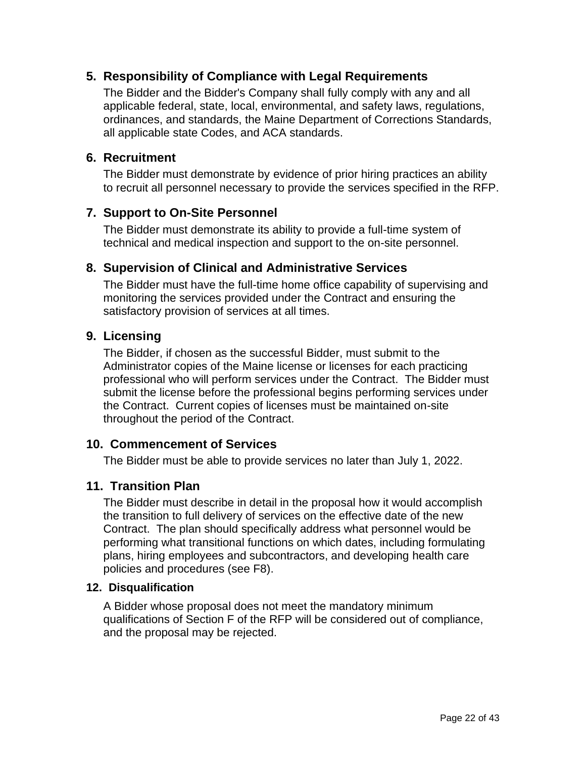## **5. Responsibility of Compliance with Legal Requirements**

The Bidder and the Bidder's Company shall fully comply with any and all applicable federal, state, local, environmental, and safety laws, regulations, ordinances, and standards, the Maine Department of Corrections Standards, all applicable state Codes, and ACA standards.

### **6. Recruitment**

The Bidder must demonstrate by evidence of prior hiring practices an ability to recruit all personnel necessary to provide the services specified in the RFP.

## **7. Support to On-Site Personnel**

The Bidder must demonstrate its ability to provide a full-time system of technical and medical inspection and support to the on-site personnel.

## **8. Supervision of Clinical and Administrative Services**

The Bidder must have the full-time home office capability of supervising and monitoring the services provided under the Contract and ensuring the satisfactory provision of services at all times.

### **9. Licensing**

The Bidder, if chosen as the successful Bidder, must submit to the Administrator copies of the Maine license or licenses for each practicing professional who will perform services under the Contract. The Bidder must submit the license before the professional begins performing services under the Contract. Current copies of licenses must be maintained on-site throughout the period of the Contract.

### **10. Commencement of Services**

The Bidder must be able to provide services no later than July 1, 2022.

### **11. Transition Plan**

The Bidder must describe in detail in the proposal how it would accomplish the transition to full delivery of services on the effective date of the new Contract. The plan should specifically address what personnel would be performing what transitional functions on which dates, including formulating plans, hiring employees and subcontractors, and developing health care policies and procedures (see F8).

### **12. Disqualification**

A Bidder whose proposal does not meet the mandatory minimum qualifications of Section F of the RFP will be considered out of compliance, and the proposal may be rejected.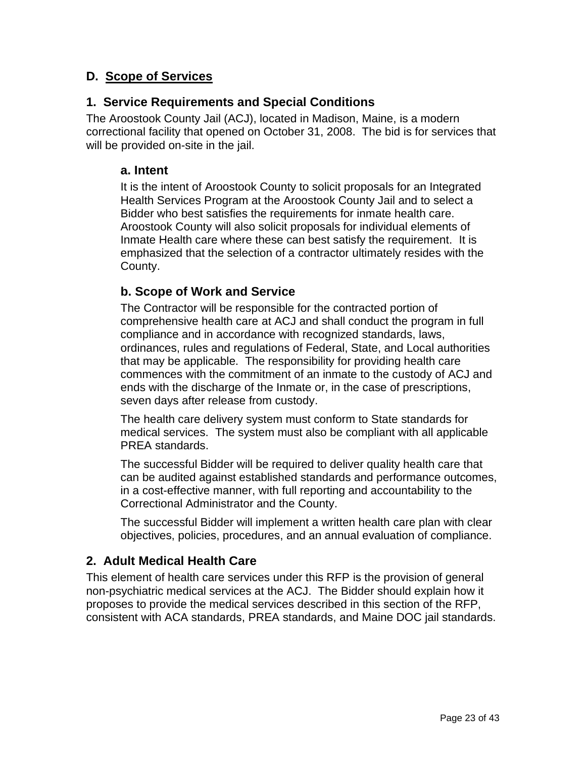## **D. Scope of Services**

## **1. Service Requirements and Special Conditions**

The Aroostook County Jail (ACJ), located in Madison, Maine, is a modern correctional facility that opened on October 31, 2008. The bid is for services that will be provided on-site in the jail.

#### **a. Intent**

It is the intent of Aroostook County to solicit proposals for an Integrated Health Services Program at the Aroostook County Jail and to select a Bidder who best satisfies the requirements for inmate health care. Aroostook County will also solicit proposals for individual elements of Inmate Health care where these can best satisfy the requirement. It is emphasized that the selection of a contractor ultimately resides with the County.

## **b. Scope of Work and Service**

The Contractor will be responsible for the contracted portion of comprehensive health care at ACJ and shall conduct the program in full compliance and in accordance with recognized standards, laws, ordinances, rules and regulations of Federal, State, and Local authorities that may be applicable. The responsibility for providing health care commences with the commitment of an inmate to the custody of ACJ and ends with the discharge of the Inmate or, in the case of prescriptions, seven days after release from custody.

The health care delivery system must conform to State standards for medical services. The system must also be compliant with all applicable PREA standards.

The successful Bidder will be required to deliver quality health care that can be audited against established standards and performance outcomes, in a cost-effective manner, with full reporting and accountability to the Correctional Administrator and the County.

The successful Bidder will implement a written health care plan with clear objectives, policies, procedures, and an annual evaluation of compliance.

## **2. Adult Medical Health Care**

This element of health care services under this RFP is the provision of general non-psychiatric medical services at the ACJ. The Bidder should explain how it proposes to provide the medical services described in this section of the RFP, consistent with ACA standards, PREA standards, and Maine DOC jail standards.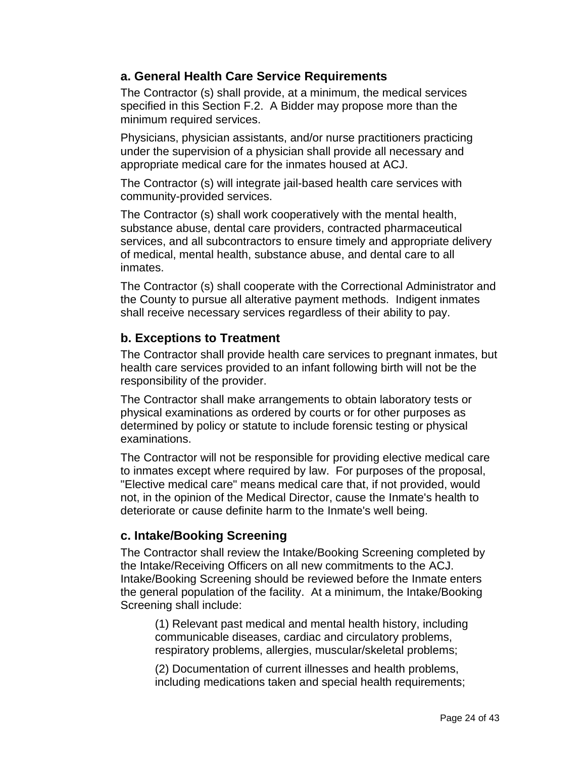### **a. General Health Care Service Requirements**

The Contractor (s) shall provide, at a minimum, the medical services specified in this Section F.2. A Bidder may propose more than the minimum required services.

Physicians, physician assistants, and/or nurse practitioners practicing under the supervision of a physician shall provide all necessary and appropriate medical care for the inmates housed at ACJ.

The Contractor (s) will integrate jail-based health care services with community-provided services.

The Contractor (s) shall work cooperatively with the mental health, substance abuse, dental care providers, contracted pharmaceutical services, and all subcontractors to ensure timely and appropriate delivery of medical, mental health, substance abuse, and dental care to all inmates.

The Contractor (s) shall cooperate with the Correctional Administrator and the County to pursue all alterative payment methods. Indigent inmates shall receive necessary services regardless of their ability to pay.

## **b. Exceptions to Treatment**

The Contractor shall provide health care services to pregnant inmates, but health care services provided to an infant following birth will not be the responsibility of the provider.

The Contractor shall make arrangements to obtain laboratory tests or physical examinations as ordered by courts or for other purposes as determined by policy or statute to include forensic testing or physical examinations.

The Contractor will not be responsible for providing elective medical care to inmates except where required by law. For purposes of the proposal, "Elective medical care" means medical care that, if not provided, would not, in the opinion of the Medical Director, cause the Inmate's health to deteriorate or cause definite harm to the Inmate's well being.

## **c. Intake/Booking Screening**

The Contractor shall review the Intake/Booking Screening completed by the Intake/Receiving Officers on all new commitments to the ACJ. Intake/Booking Screening should be reviewed before the Inmate enters the general population of the facility. At a minimum, the Intake/Booking Screening shall include:

(1) Relevant past medical and mental health history, including communicable diseases, cardiac and circulatory problems, respiratory problems, allergies, muscular/skeletal problems;

(2) Documentation of current illnesses and health problems, including medications taken and special health requirements;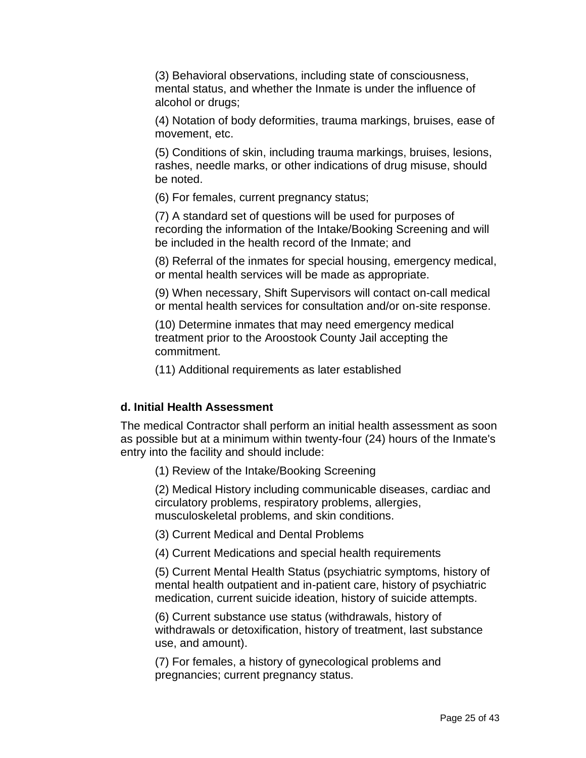(3) Behavioral observations, including state of consciousness, mental status, and whether the Inmate is under the influence of alcohol or drugs;

(4) Notation of body deformities, trauma markings, bruises, ease of movement, etc.

(5) Conditions of skin, including trauma markings, bruises, lesions, rashes, needle marks, or other indications of drug misuse, should be noted.

(6) For females, current pregnancy status;

(7) A standard set of questions will be used for purposes of recording the information of the Intake/Booking Screening and will be included in the health record of the Inmate; and

(8) Referral of the inmates for special housing, emergency medical, or mental health services will be made as appropriate.

(9) When necessary, Shift Supervisors will contact on-call medical or mental health services for consultation and/or on-site response.

(10) Determine inmates that may need emergency medical treatment prior to the Aroostook County Jail accepting the commitment.

(11) Additional requirements as later established

#### **d. Initial Health Assessment**

The medical Contractor shall perform an initial health assessment as soon as possible but at a minimum within twenty-four (24) hours of the Inmate's entry into the facility and should include:

(1) Review of the Intake/Booking Screening

(2) Medical History including communicable diseases, cardiac and circulatory problems, respiratory problems, allergies, musculoskeletal problems, and skin conditions.

(3) Current Medical and Dental Problems

(4) Current Medications and special health requirements

(5) Current Mental Health Status (psychiatric symptoms, history of mental health outpatient and in-patient care, history of psychiatric medication, current suicide ideation, history of suicide attempts.

(6) Current substance use status (withdrawals, history of withdrawals or detoxification, history of treatment, last substance use, and amount).

(7) For females, a history of gynecological problems and pregnancies; current pregnancy status.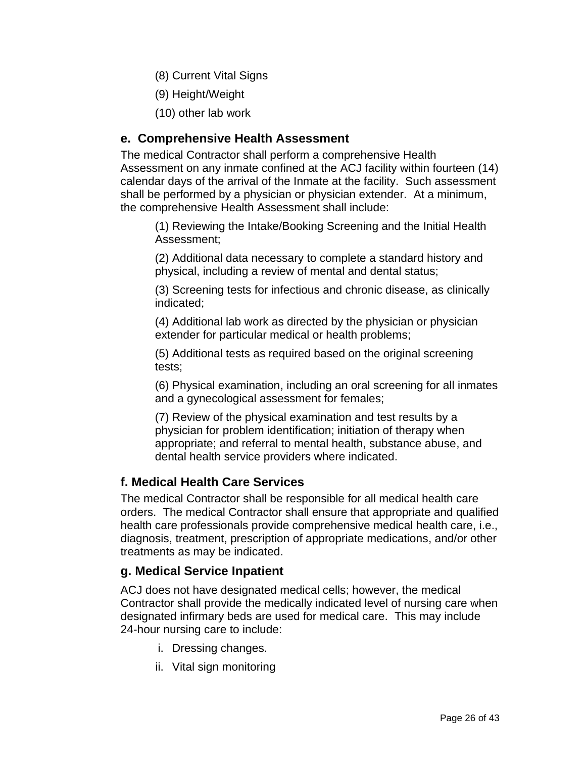- (8) Current Vital Signs
- (9) Height/Weight
- (10) other lab work

### **e. Comprehensive Health Assessment**

The medical Contractor shall perform a comprehensive Health Assessment on any inmate confined at the ACJ facility within fourteen (14) calendar days of the arrival of the Inmate at the facility. Such assessment shall be performed by a physician or physician extender. At a minimum, the comprehensive Health Assessment shall include:

(1) Reviewing the Intake/Booking Screening and the Initial Health Assessment;

(2) Additional data necessary to complete a standard history and physical, including a review of mental and dental status;

(3) Screening tests for infectious and chronic disease, as clinically indicated;

(4) Additional lab work as directed by the physician or physician extender for particular medical or health problems;

(5) Additional tests as required based on the original screening tests;

(6) Physical examination, including an oral screening for all inmates and a gynecological assessment for females;

(7) Review of the physical examination and test results by a physician for problem identification; initiation of therapy when appropriate; and referral to mental health, substance abuse, and dental health service providers where indicated.

### **f. Medical Health Care Services**

The medical Contractor shall be responsible for all medical health care orders. The medical Contractor shall ensure that appropriate and qualified health care professionals provide comprehensive medical health care, i.e., diagnosis, treatment, prescription of appropriate medications, and/or other treatments as may be indicated.

### **g. Medical Service Inpatient**

ACJ does not have designated medical cells; however, the medical Contractor shall provide the medically indicated level of nursing care when designated infirmary beds are used for medical care. This may include 24-hour nursing care to include:

- i. Dressing changes.
- ii. Vital sign monitoring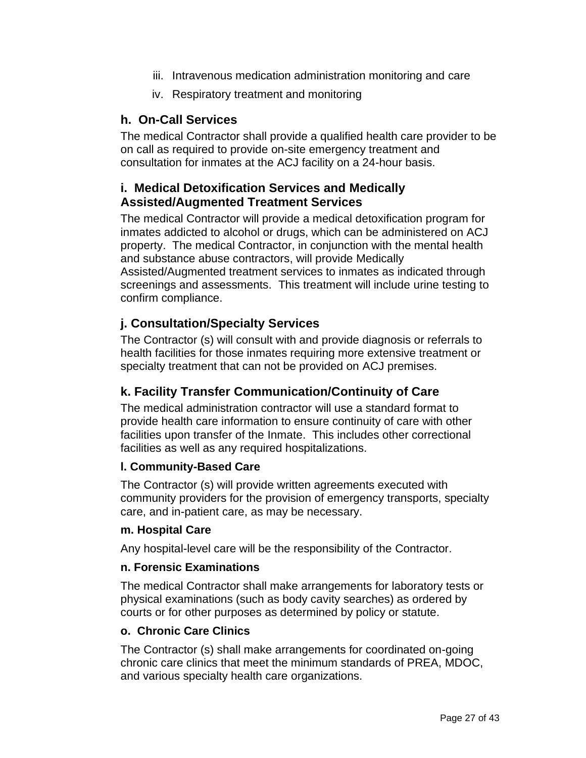- iii. Intravenous medication administration monitoring and care
- iv. Respiratory treatment and monitoring

### **h. On-Call Services**

The medical Contractor shall provide a qualified health care provider to be on call as required to provide on-site emergency treatment and consultation for inmates at the ACJ facility on a 24-hour basis.

## **i. Medical Detoxification Services and Medically Assisted/Augmented Treatment Services**

The medical Contractor will provide a medical detoxification program for inmates addicted to alcohol or drugs, which can be administered on ACJ property. The medical Contractor, in conjunction with the mental health and substance abuse contractors, will provide Medically Assisted/Augmented treatment services to inmates as indicated through screenings and assessments. This treatment will include urine testing to confirm compliance.

## **j. Consultation/Specialty Services**

The Contractor (s) will consult with and provide diagnosis or referrals to health facilities for those inmates requiring more extensive treatment or specialty treatment that can not be provided on ACJ premises.

## **k. Facility Transfer Communication/Continuity of Care**

The medical administration contractor will use a standard format to provide health care information to ensure continuity of care with other facilities upon transfer of the Inmate. This includes other correctional facilities as well as any required hospitalizations.

### **l. Community-Based Care**

The Contractor (s) will provide written agreements executed with community providers for the provision of emergency transports, specialty care, and in-patient care, as may be necessary.

#### **m. Hospital Care**

Any hospital-level care will be the responsibility of the Contractor.

#### **n. Forensic Examinations**

The medical Contractor shall make arrangements for laboratory tests or physical examinations (such as body cavity searches) as ordered by courts or for other purposes as determined by policy or statute.

#### **o. Chronic Care Clinics**

The Contractor (s) shall make arrangements for coordinated on-going chronic care clinics that meet the minimum standards of PREA, MDOC, and various specialty health care organizations.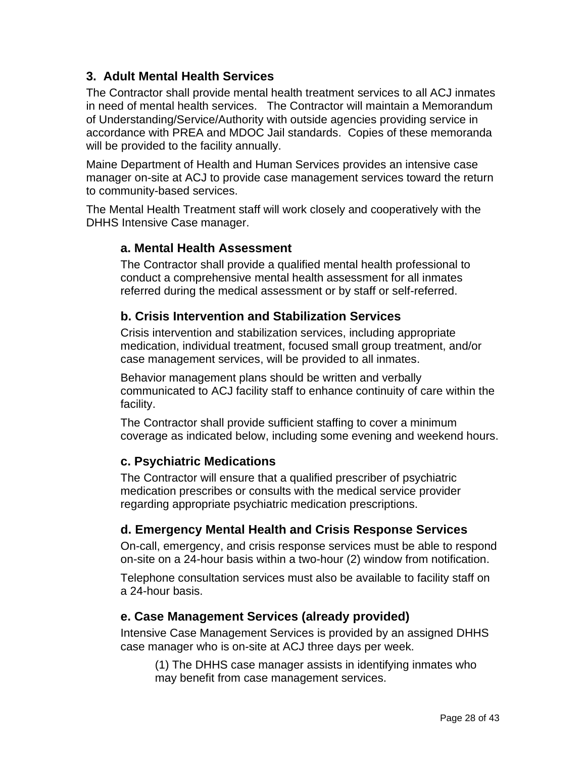## **3. Adult Mental Health Services**

The Contractor shall provide mental health treatment services to all ACJ inmates in need of mental health services. The Contractor will maintain a Memorandum of Understanding/Service/Authority with outside agencies providing service in accordance with PREA and MDOC Jail standards. Copies of these memoranda will be provided to the facility annually.

Maine Department of Health and Human Services provides an intensive case manager on-site at ACJ to provide case management services toward the return to community-based services.

The Mental Health Treatment staff will work closely and cooperatively with the DHHS Intensive Case manager.

### **a. Mental Health Assessment**

The Contractor shall provide a qualified mental health professional to conduct a comprehensive mental health assessment for all inmates referred during the medical assessment or by staff or self-referred.

## **b. Crisis Intervention and Stabilization Services**

Crisis intervention and stabilization services, including appropriate medication, individual treatment, focused small group treatment, and/or case management services, will be provided to all inmates.

Behavior management plans should be written and verbally communicated to ACJ facility staff to enhance continuity of care within the facility.

The Contractor shall provide sufficient staffing to cover a minimum coverage as indicated below, including some evening and weekend hours.

## **c. Psychiatric Medications**

The Contractor will ensure that a qualified prescriber of psychiatric medication prescribes or consults with the medical service provider regarding appropriate psychiatric medication prescriptions.

## **d. Emergency Mental Health and Crisis Response Services**

On-call, emergency, and crisis response services must be able to respond on-site on a 24-hour basis within a two-hour (2) window from notification.

Telephone consultation services must also be available to facility staff on a 24-hour basis.

### **e. Case Management Services (already provided)**

Intensive Case Management Services is provided by an assigned DHHS case manager who is on-site at ACJ three days per week.

(1) The DHHS case manager assists in identifying inmates who may benefit from case management services.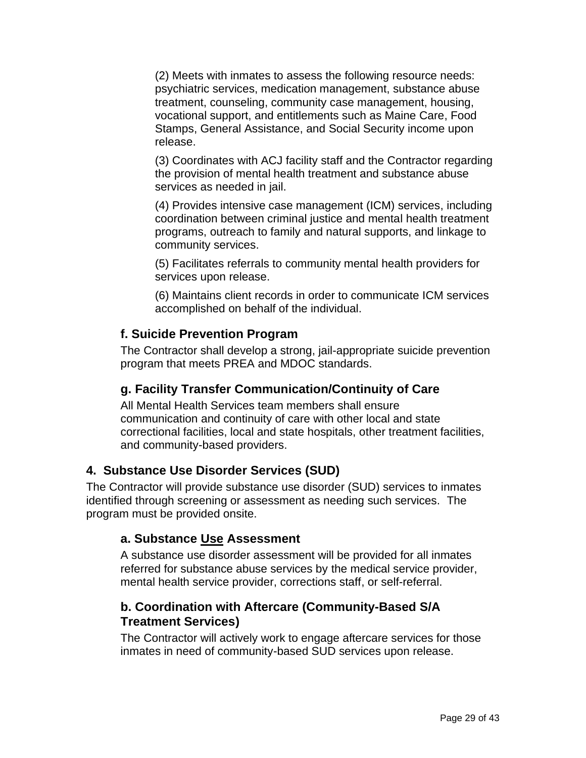(2) Meets with inmates to assess the following resource needs: psychiatric services, medication management, substance abuse treatment, counseling, community case management, housing, vocational support, and entitlements such as Maine Care, Food Stamps, General Assistance, and Social Security income upon release.

(3) Coordinates with ACJ facility staff and the Contractor regarding the provision of mental health treatment and substance abuse services as needed in jail.

(4) Provides intensive case management (ICM) services, including coordination between criminal justice and mental health treatment programs, outreach to family and natural supports, and linkage to community services.

(5) Facilitates referrals to community mental health providers for services upon release.

(6) Maintains client records in order to communicate ICM services accomplished on behalf of the individual.

### **f. Suicide Prevention Program**

The Contractor shall develop a strong, jail-appropriate suicide prevention program that meets PREA and MDOC standards.

### **g. Facility Transfer Communication/Continuity of Care**

All Mental Health Services team members shall ensure communication and continuity of care with other local and state correctional facilities, local and state hospitals, other treatment facilities, and community-based providers.

#### **4. Substance Use Disorder Services (SUD)**

The Contractor will provide substance use disorder (SUD) services to inmates identified through screening or assessment as needing such services. The program must be provided onsite.

#### **a. Substance Use Assessment**

A substance use disorder assessment will be provided for all inmates referred for substance abuse services by the medical service provider, mental health service provider, corrections staff, or self-referral.

### **b. Coordination with Aftercare (Community-Based S/A Treatment Services)**

The Contractor will actively work to engage aftercare services for those inmates in need of community-based SUD services upon release.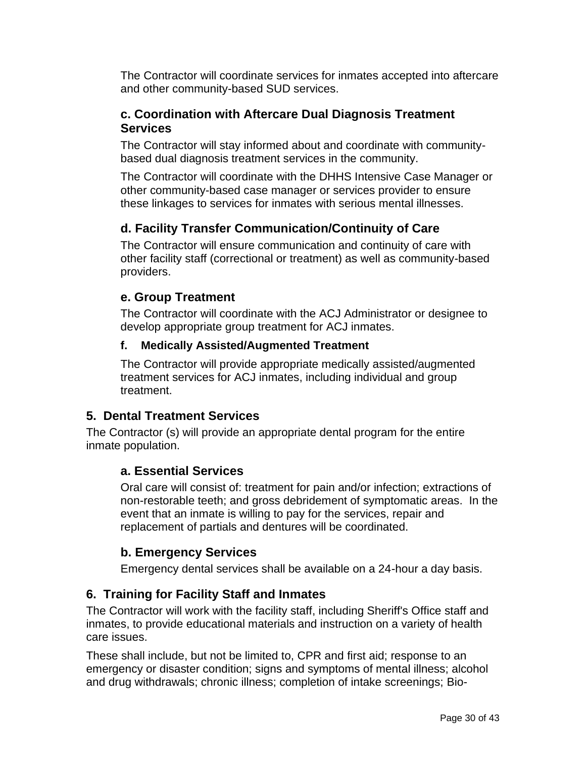The Contractor will coordinate services for inmates accepted into aftercare and other community-based SUD services.

## **c. Coordination with Aftercare Dual Diagnosis Treatment Services**

The Contractor will stay informed about and coordinate with communitybased dual diagnosis treatment services in the community.

The Contractor will coordinate with the DHHS Intensive Case Manager or other community-based case manager or services provider to ensure these linkages to services for inmates with serious mental illnesses.

## **d. Facility Transfer Communication/Continuity of Care**

The Contractor will ensure communication and continuity of care with other facility staff (correctional or treatment) as well as community-based providers.

## **e. Group Treatment**

The Contractor will coordinate with the ACJ Administrator or designee to develop appropriate group treatment for ACJ inmates.

## **f. Medically Assisted/Augmented Treatment**

The Contractor will provide appropriate medically assisted/augmented treatment services for ACJ inmates, including individual and group treatment.

## **5. Dental Treatment Services**

The Contractor (s) will provide an appropriate dental program for the entire inmate population.

## **a. Essential Services**

Oral care will consist of: treatment for pain and/or infection; extractions of non-restorable teeth; and gross debridement of symptomatic areas. In the event that an inmate is willing to pay for the services, repair and replacement of partials and dentures will be coordinated.

## **b. Emergency Services**

Emergency dental services shall be available on a 24-hour a day basis.

## **6. Training for Facility Staff and Inmates**

The Contractor will work with the facility staff, including Sheriff's Office staff and inmates, to provide educational materials and instruction on a variety of health care issues.

These shall include, but not be limited to, CPR and first aid; response to an emergency or disaster condition; signs and symptoms of mental illness; alcohol and drug withdrawals; chronic illness; completion of intake screenings; Bio-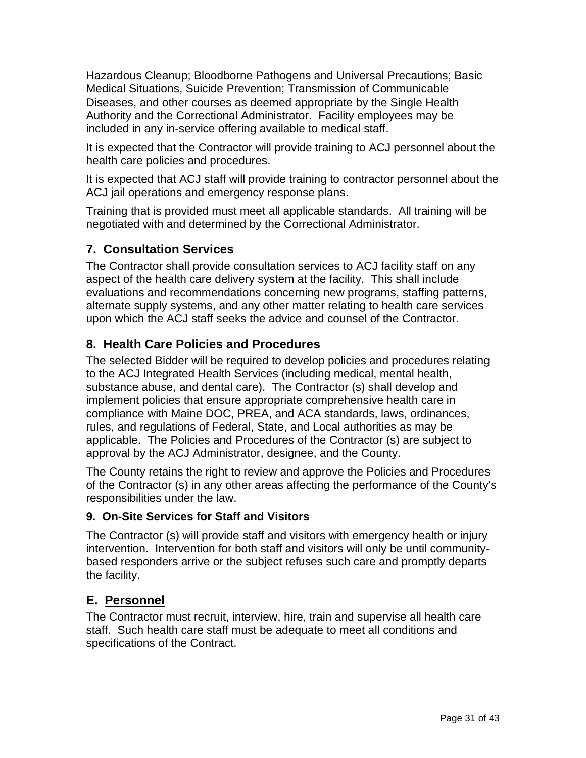Hazardous Cleanup; Bloodborne Pathogens and Universal Precautions; Basic Medical Situations, Suicide Prevention; Transmission of Communicable Diseases, and other courses as deemed appropriate by the Single Health Authority and the Correctional Administrator. Facility employees may be included in any in-service offering available to medical staff.

It is expected that the Contractor will provide training to ACJ personnel about the health care policies and procedures.

It is expected that ACJ staff will provide training to contractor personnel about the ACJ jail operations and emergency response plans.

Training that is provided must meet all applicable standards. All training will be negotiated with and determined by the Correctional Administrator.

## **7. Consultation Services**

The Contractor shall provide consultation services to ACJ facility staff on any aspect of the health care delivery system at the facility. This shall include evaluations and recommendations concerning new programs, staffing patterns, alternate supply systems, and any other matter relating to health care services upon which the ACJ staff seeks the advice and counsel of the Contractor.

## **8. Health Care Policies and Procedures**

The selected Bidder will be required to develop policies and procedures relating to the ACJ Integrated Health Services (including medical, mental health, substance abuse, and dental care). The Contractor (s) shall develop and implement policies that ensure appropriate comprehensive health care in compliance with Maine DOC, PREA, and ACA standards, laws, ordinances, rules, and regulations of Federal, State, and Local authorities as may be applicable. The Policies and Procedures of the Contractor (s) are subject to approval by the ACJ Administrator, designee, and the County.

The County retains the right to review and approve the Policies and Procedures of the Contractor (s) in any other areas affecting the performance of the County's responsibilities under the law.

## **9. On-Site Services for Staff and Visitors**

The Contractor (s) will provide staff and visitors with emergency health or injury intervention. Intervention for both staff and visitors will only be until communitybased responders arrive or the subject refuses such care and promptly departs the facility.

## **E. Personnel**

The Contractor must recruit, interview, hire, train and supervise all health care staff. Such health care staff must be adequate to meet all conditions and specifications of the Contract.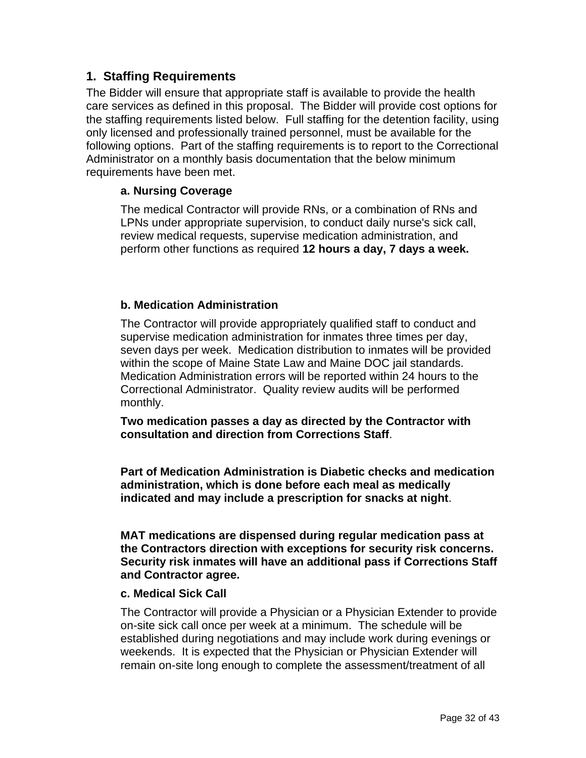## **1. Staffing Requirements**

The Bidder will ensure that appropriate staff is available to provide the health care services as defined in this proposal. The Bidder will provide cost options for the staffing requirements listed below. Full staffing for the detention facility, using only licensed and professionally trained personnel, must be available for the following options. Part of the staffing requirements is to report to the Correctional Administrator on a monthly basis documentation that the below minimum requirements have been met.

#### **a. Nursing Coverage**

The medical Contractor will provide RNs, or a combination of RNs and LPNs under appropriate supervision, to conduct daily nurse's sick call, review medical requests, supervise medication administration, and perform other functions as required **12 hours a day, 7 days a week.**

#### **b. Medication Administration**

The Contractor will provide appropriately qualified staff to conduct and supervise medication administration for inmates three times per day, seven days per week. Medication distribution to inmates will be provided within the scope of Maine State Law and Maine DOC jail standards. Medication Administration errors will be reported within 24 hours to the Correctional Administrator. Quality review audits will be performed monthly.

**Two medication passes a day as directed by the Contractor with consultation and direction from Corrections Staff**.

**Part of Medication Administration is Diabetic checks and medication administration, which is done before each meal as medically indicated and may include a prescription for snacks at night**.

**MAT medications are dispensed during regular medication pass at the Contractors direction with exceptions for security risk concerns. Security risk inmates will have an additional pass if Corrections Staff and Contractor agree.**

#### **c. Medical Sick Call**

The Contractor will provide a Physician or a Physician Extender to provide on-site sick call once per week at a minimum. The schedule will be established during negotiations and may include work during evenings or weekends. It is expected that the Physician or Physician Extender will remain on-site long enough to complete the assessment/treatment of all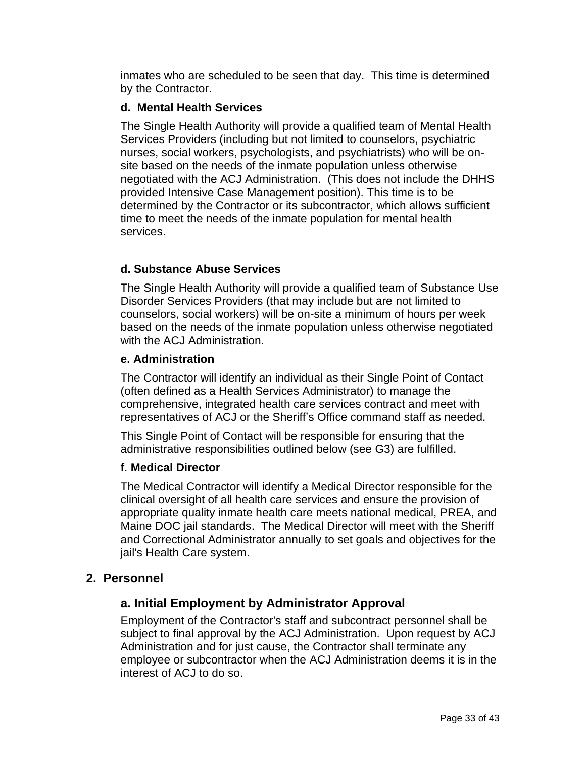inmates who are scheduled to be seen that day. This time is determined by the Contractor.

#### **d. Mental Health Services**

The Single Health Authority will provide a qualified team of Mental Health Services Providers (including but not limited to counselors, psychiatric nurses, social workers, psychologists, and psychiatrists) who will be onsite based on the needs of the inmate population unless otherwise negotiated with the ACJ Administration. (This does not include the DHHS provided Intensive Case Management position). This time is to be determined by the Contractor or its subcontractor, which allows sufficient time to meet the needs of the inmate population for mental health services.

### **d. Substance Abuse Services**

The Single Health Authority will provide a qualified team of Substance Use Disorder Services Providers (that may include but are not limited to counselors, social workers) will be on-site a minimum of hours per week based on the needs of the inmate population unless otherwise negotiated with the ACJ Administration.

#### **e. Administration**

The Contractor will identify an individual as their Single Point of Contact (often defined as a Health Services Administrator) to manage the comprehensive, integrated health care services contract and meet with representatives of ACJ or the Sheriff's Office command staff as needed.

This Single Point of Contact will be responsible for ensuring that the administrative responsibilities outlined below (see G3) are fulfilled.

### **f**. **Medical Director**

The Medical Contractor will identify a Medical Director responsible for the clinical oversight of all health care services and ensure the provision of appropriate quality inmate health care meets national medical, PREA, and Maine DOC jail standards. The Medical Director will meet with the Sheriff and Correctional Administrator annually to set goals and objectives for the jail's Health Care system.

### **2. Personnel**

## **a. Initial Employment by Administrator Approval**

Employment of the Contractor's staff and subcontract personnel shall be subject to final approval by the ACJ Administration. Upon request by ACJ Administration and for just cause, the Contractor shall terminate any employee or subcontractor when the ACJ Administration deems it is in the interest of ACJ to do so.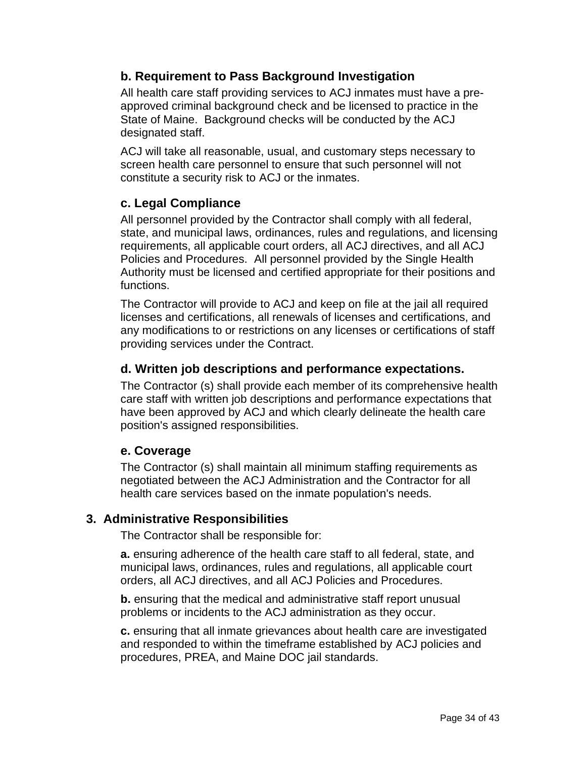## **b. Requirement to Pass Background Investigation**

All health care staff providing services to ACJ inmates must have a preapproved criminal background check and be licensed to practice in the State of Maine. Background checks will be conducted by the ACJ designated staff.

ACJ will take all reasonable, usual, and customary steps necessary to screen health care personnel to ensure that such personnel will not constitute a security risk to ACJ or the inmates.

## **c. Legal Compliance**

All personnel provided by the Contractor shall comply with all federal, state, and municipal laws, ordinances, rules and regulations, and licensing requirements, all applicable court orders, all ACJ directives, and all ACJ Policies and Procedures. All personnel provided by the Single Health Authority must be licensed and certified appropriate for their positions and functions.

The Contractor will provide to ACJ and keep on file at the jail all required licenses and certifications, all renewals of licenses and certifications, and any modifications to or restrictions on any licenses or certifications of staff providing services under the Contract.

## **d. Written job descriptions and performance expectations.**

The Contractor (s) shall provide each member of its comprehensive health care staff with written job descriptions and performance expectations that have been approved by ACJ and which clearly delineate the health care position's assigned responsibilities.

## **e. Coverage**

The Contractor (s) shall maintain all minimum staffing requirements as negotiated between the ACJ Administration and the Contractor for all health care services based on the inmate population's needs.

## **3. Administrative Responsibilities**

The Contractor shall be responsible for:

**a.** ensuring adherence of the health care staff to all federal, state, and municipal laws, ordinances, rules and regulations, all applicable court orders, all ACJ directives, and all ACJ Policies and Procedures.

**b.** ensuring that the medical and administrative staff report unusual problems or incidents to the ACJ administration as they occur.

**c.** ensuring that all inmate grievances about health care are investigated and responded to within the timeframe established by ACJ policies and procedures, PREA, and Maine DOC jail standards.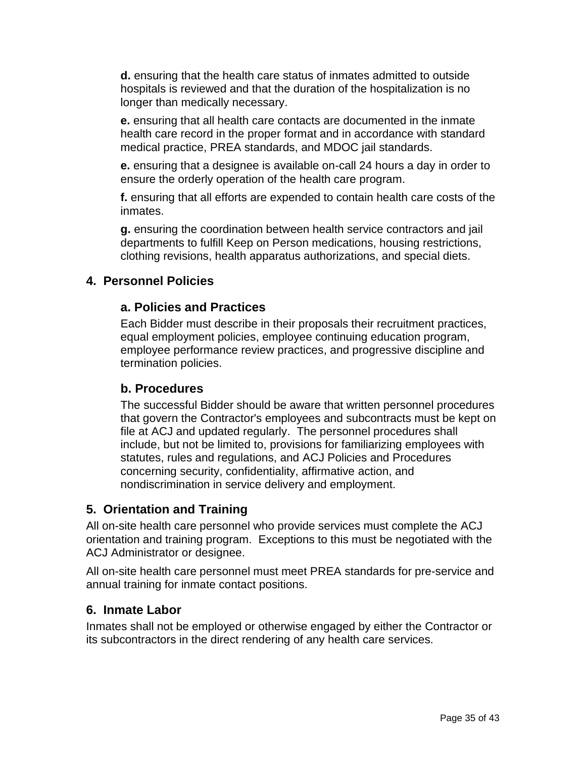**d.** ensuring that the health care status of inmates admitted to outside hospitals is reviewed and that the duration of the hospitalization is no longer than medically necessary.

**e.** ensuring that all health care contacts are documented in the inmate health care record in the proper format and in accordance with standard medical practice, PREA standards, and MDOC jail standards.

**e.** ensuring that a designee is available on-call 24 hours a day in order to ensure the orderly operation of the health care program.

**f.** ensuring that all efforts are expended to contain health care costs of the inmates.

**g.** ensuring the coordination between health service contractors and jail departments to fulfill Keep on Person medications, housing restrictions, clothing revisions, health apparatus authorizations, and special diets.

## **4. Personnel Policies**

### **a. Policies and Practices**

Each Bidder must describe in their proposals their recruitment practices, equal employment policies, employee continuing education program, employee performance review practices, and progressive discipline and termination policies.

### **b. Procedures**

The successful Bidder should be aware that written personnel procedures that govern the Contractor's employees and subcontracts must be kept on file at ACJ and updated regularly. The personnel procedures shall include, but not be limited to, provisions for familiarizing employees with statutes, rules and regulations, and ACJ Policies and Procedures concerning security, confidentiality, affirmative action, and nondiscrimination in service delivery and employment.

## **5. Orientation and Training**

All on-site health care personnel who provide services must complete the ACJ orientation and training program. Exceptions to this must be negotiated with the ACJ Administrator or designee.

All on-site health care personnel must meet PREA standards for pre-service and annual training for inmate contact positions.

## **6. Inmate Labor**

Inmates shall not be employed or otherwise engaged by either the Contractor or its subcontractors in the direct rendering of any health care services.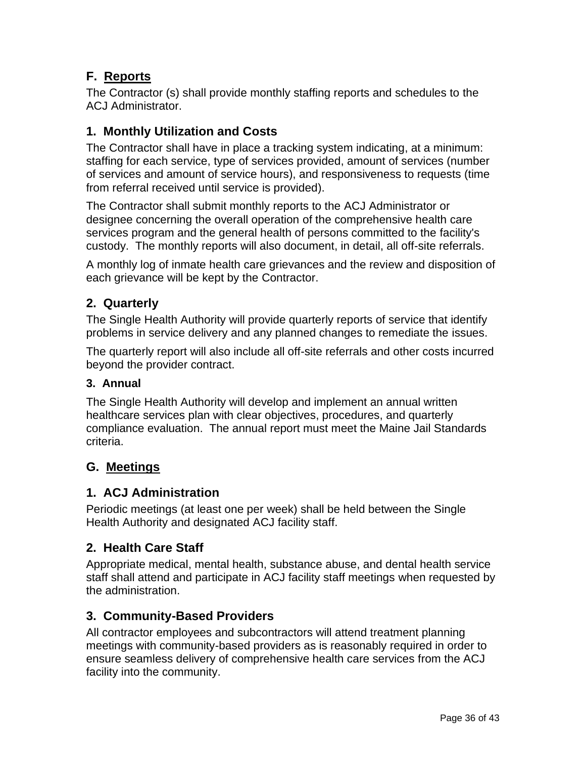## **F. Reports**

The Contractor (s) shall provide monthly staffing reports and schedules to the ACJ Administrator.

## **1. Monthly Utilization and Costs**

The Contractor shall have in place a tracking system indicating, at a minimum: staffing for each service, type of services provided, amount of services (number of services and amount of service hours), and responsiveness to requests (time from referral received until service is provided).

The Contractor shall submit monthly reports to the ACJ Administrator or designee concerning the overall operation of the comprehensive health care services program and the general health of persons committed to the facility's custody. The monthly reports will also document, in detail, all off-site referrals.

A monthly log of inmate health care grievances and the review and disposition of each grievance will be kept by the Contractor.

## **2. Quarterly**

The Single Health Authority will provide quarterly reports of service that identify problems in service delivery and any planned changes to remediate the issues.

The quarterly report will also include all off-site referrals and other costs incurred beyond the provider contract.

#### **3. Annual**

The Single Health Authority will develop and implement an annual written healthcare services plan with clear objectives, procedures, and quarterly compliance evaluation. The annual report must meet the Maine Jail Standards criteria.

## **G. Meetings**

### **1. ACJ Administration**

Periodic meetings (at least one per week) shall be held between the Single Health Authority and designated ACJ facility staff.

### **2. Health Care Staff**

Appropriate medical, mental health, substance abuse, and dental health service staff shall attend and participate in ACJ facility staff meetings when requested by the administration.

### **3. Community-Based Providers**

All contractor employees and subcontractors will attend treatment planning meetings with community-based providers as is reasonably required in order to ensure seamless delivery of comprehensive health care services from the ACJ facility into the community.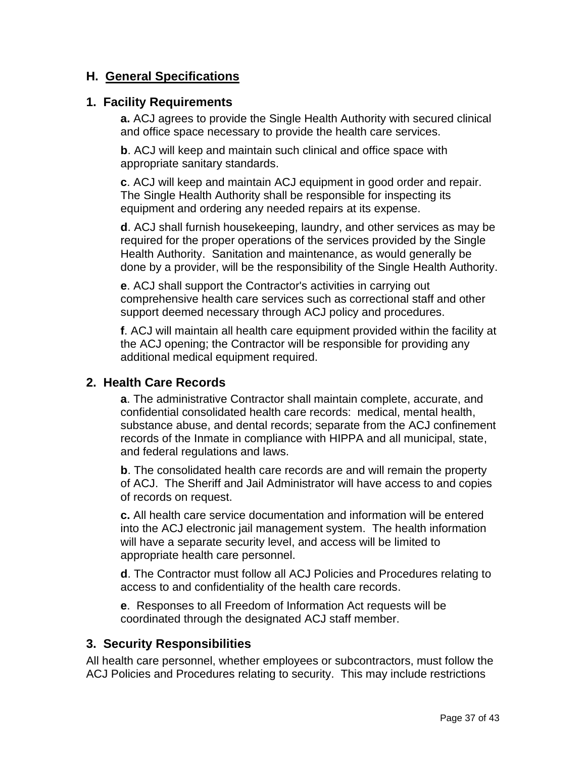## **H. General Specifications**

#### **1. Facility Requirements**

**a.** ACJ agrees to provide the Single Health Authority with secured clinical and office space necessary to provide the health care services.

**b**. ACJ will keep and maintain such clinical and office space with appropriate sanitary standards.

**c**. ACJ will keep and maintain ACJ equipment in good order and repair. The Single Health Authority shall be responsible for inspecting its equipment and ordering any needed repairs at its expense.

**d**. ACJ shall furnish housekeeping, laundry, and other services as may be required for the proper operations of the services provided by the Single Health Authority. Sanitation and maintenance, as would generally be done by a provider, will be the responsibility of the Single Health Authority.

**e**. ACJ shall support the Contractor's activities in carrying out comprehensive health care services such as correctional staff and other support deemed necessary through ACJ policy and procedures.

**f**. ACJ will maintain all health care equipment provided within the facility at the ACJ opening; the Contractor will be responsible for providing any additional medical equipment required.

### **2. Health Care Records**

**a**. The administrative Contractor shall maintain complete, accurate, and confidential consolidated health care records: medical, mental health, substance abuse, and dental records; separate from the ACJ confinement records of the Inmate in compliance with HIPPA and all municipal, state, and federal regulations and laws.

**b**. The consolidated health care records are and will remain the property of ACJ. The Sheriff and Jail Administrator will have access to and copies of records on request.

**c.** All health care service documentation and information will be entered into the ACJ electronic jail management system. The health information will have a separate security level, and access will be limited to appropriate health care personnel.

**d**. The Contractor must follow all ACJ Policies and Procedures relating to access to and confidentiality of the health care records.

**e**. Responses to all Freedom of Information Act requests will be coordinated through the designated ACJ staff member.

### **3. Security Responsibilities**

All health care personnel, whether employees or subcontractors, must follow the ACJ Policies and Procedures relating to security. This may include restrictions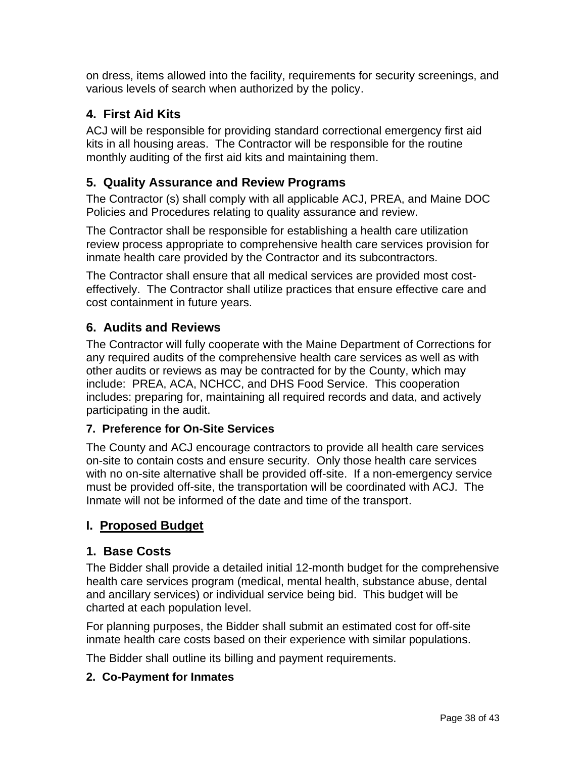on dress, items allowed into the facility, requirements for security screenings, and various levels of search when authorized by the policy.

## **4. First Aid Kits**

ACJ will be responsible for providing standard correctional emergency first aid kits in all housing areas. The Contractor will be responsible for the routine monthly auditing of the first aid kits and maintaining them.

## **5. Quality Assurance and Review Programs**

The Contractor (s) shall comply with all applicable ACJ, PREA, and Maine DOC Policies and Procedures relating to quality assurance and review.

The Contractor shall be responsible for establishing a health care utilization review process appropriate to comprehensive health care services provision for inmate health care provided by the Contractor and its subcontractors.

The Contractor shall ensure that all medical services are provided most costeffectively. The Contractor shall utilize practices that ensure effective care and cost containment in future years.

## **6. Audits and Reviews**

The Contractor will fully cooperate with the Maine Department of Corrections for any required audits of the comprehensive health care services as well as with other audits or reviews as may be contracted for by the County, which may include: PREA, ACA, NCHCC, and DHS Food Service. This cooperation includes: preparing for, maintaining all required records and data, and actively participating in the audit.

### **7. Preference for On-Site Services**

The County and ACJ encourage contractors to provide all health care services on-site to contain costs and ensure security. Only those health care services with no on-site alternative shall be provided off-site. If a non-emergency service must be provided off-site, the transportation will be coordinated with ACJ. The Inmate will not be informed of the date and time of the transport.

## **I. Proposed Budget**

## **1. Base Costs**

The Bidder shall provide a detailed initial 12-month budget for the comprehensive health care services program (medical, mental health, substance abuse, dental and ancillary services) or individual service being bid. This budget will be charted at each population level.

For planning purposes, the Bidder shall submit an estimated cost for off-site inmate health care costs based on their experience with similar populations.

The Bidder shall outline its billing and payment requirements.

### **2. Co-Payment for Inmates**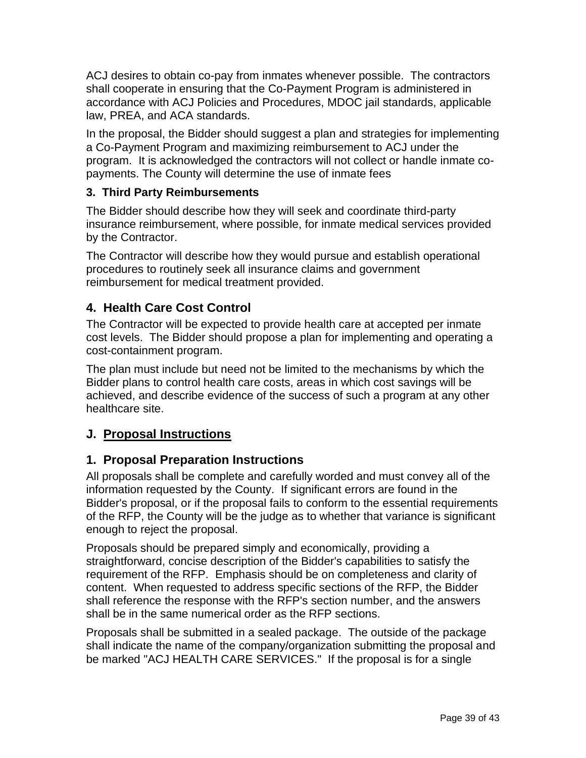ACJ desires to obtain co-pay from inmates whenever possible. The contractors shall cooperate in ensuring that the Co-Payment Program is administered in accordance with ACJ Policies and Procedures, MDOC jail standards, applicable law, PREA, and ACA standards.

In the proposal, the Bidder should suggest a plan and strategies for implementing a Co-Payment Program and maximizing reimbursement to ACJ under the program. It is acknowledged the contractors will not collect or handle inmate copayments. The County will determine the use of inmate fees

## **3. Third Party Reimbursements**

The Bidder should describe how they will seek and coordinate third-party insurance reimbursement, where possible, for inmate medical services provided by the Contractor.

The Contractor will describe how they would pursue and establish operational procedures to routinely seek all insurance claims and government reimbursement for medical treatment provided.

## **4. Health Care Cost Control**

The Contractor will be expected to provide health care at accepted per inmate cost levels. The Bidder should propose a plan for implementing and operating a cost-containment program.

The plan must include but need not be limited to the mechanisms by which the Bidder plans to control health care costs, areas in which cost savings will be achieved, and describe evidence of the success of such a program at any other healthcare site.

## **J. Proposal Instructions**

## **1. Proposal Preparation Instructions**

All proposals shall be complete and carefully worded and must convey all of the information requested by the County. If significant errors are found in the Bidder's proposal, or if the proposal fails to conform to the essential requirements of the RFP, the County will be the judge as to whether that variance is significant enough to reject the proposal.

Proposals should be prepared simply and economically, providing a straightforward, concise description of the Bidder's capabilities to satisfy the requirement of the RFP. Emphasis should be on completeness and clarity of content. When requested to address specific sections of the RFP, the Bidder shall reference the response with the RFP's section number, and the answers shall be in the same numerical order as the RFP sections.

Proposals shall be submitted in a sealed package. The outside of the package shall indicate the name of the company/organization submitting the proposal and be marked "ACJ HEALTH CARE SERVICES." If the proposal is for a single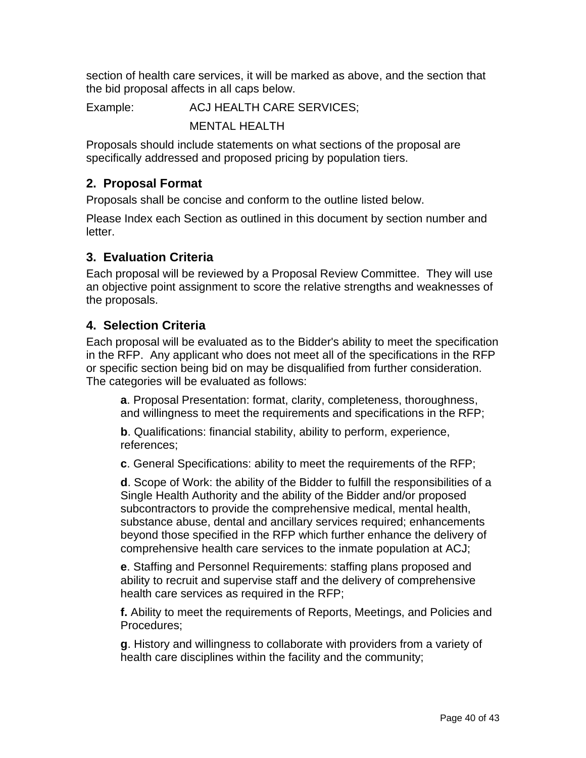section of health care services, it will be marked as above, and the section that the bid proposal affects in all caps below.

Example: ACJ HEALTH CARE SERVICES;

MENTAL HEALTH

Proposals should include statements on what sections of the proposal are specifically addressed and proposed pricing by population tiers.

## **2. Proposal Format**

Proposals shall be concise and conform to the outline listed below.

Please Index each Section as outlined in this document by section number and letter.

## **3. Evaluation Criteria**

Each proposal will be reviewed by a Proposal Review Committee. They will use an objective point assignment to score the relative strengths and weaknesses of the proposals.

## **4. Selection Criteria**

Each proposal will be evaluated as to the Bidder's ability to meet the specification in the RFP. Any applicant who does not meet all of the specifications in the RFP or specific section being bid on may be disqualified from further consideration. The categories will be evaluated as follows:

**a**. Proposal Presentation: format, clarity, completeness, thoroughness, and willingness to meet the requirements and specifications in the RFP;

**b**. Qualifications: financial stability, ability to perform, experience, references;

**c**. General Specifications: ability to meet the requirements of the RFP;

**d**. Scope of Work: the ability of the Bidder to fulfill the responsibilities of a Single Health Authority and the ability of the Bidder and/or proposed subcontractors to provide the comprehensive medical, mental health, substance abuse, dental and ancillary services required; enhancements beyond those specified in the RFP which further enhance the delivery of comprehensive health care services to the inmate population at ACJ;

**e**. Staffing and Personnel Requirements: staffing plans proposed and ability to recruit and supervise staff and the delivery of comprehensive health care services as required in the RFP;

**f.** Ability to meet the requirements of Reports, Meetings, and Policies and Procedures;

**g**. History and willingness to collaborate with providers from a variety of health care disciplines within the facility and the community;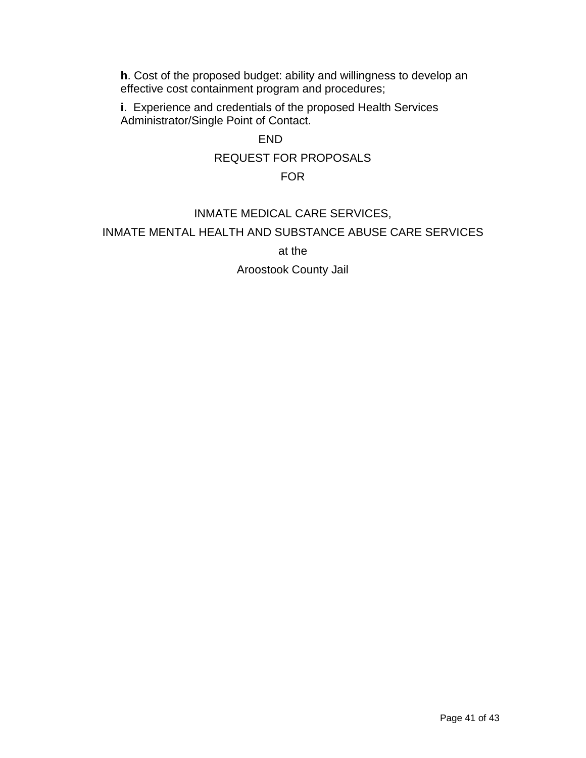**h**. Cost of the proposed budget: ability and willingness to develop an effective cost containment program and procedures;

**i**. Experience and credentials of the proposed Health Services Administrator/Single Point of Contact.

### END

#### REQUEST FOR PROPOSALS

#### FOR

### INMATE MEDICAL CARE SERVICES,

#### INMATE MENTAL HEALTH AND SUBSTANCE ABUSE CARE SERVICES

at the

#### Aroostook County Jail